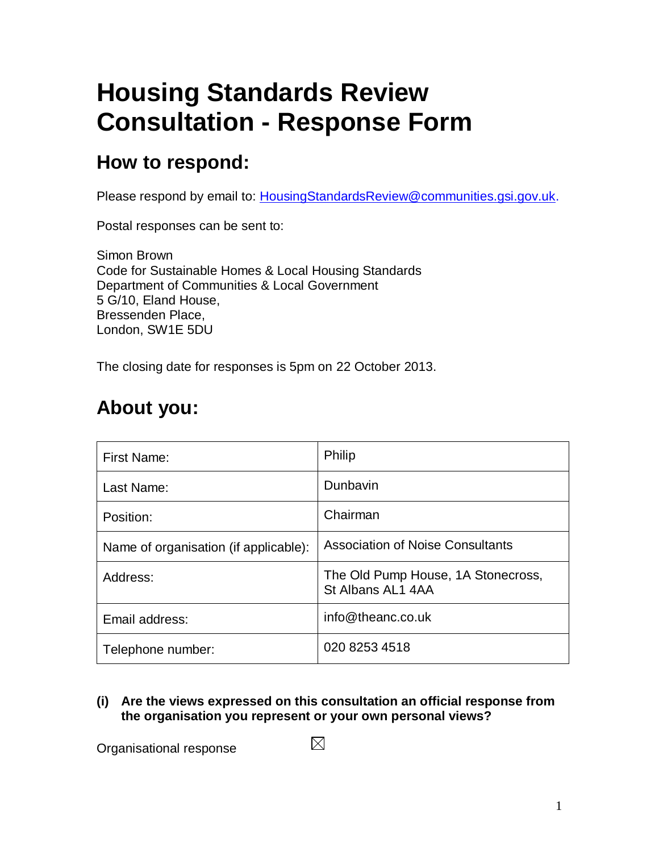## **Housing Standards Review Consultation - Response Form**

#### **How to respond:**

Please respond by email to: **HousingStandardsReview@communities.gsi.gov.uk.** 

Postal responses can be sent to:

Simon Brown Code for Sustainable Homes & Local Housing Standards Department of Communities & Local Government 5 G/10, Eland House, Bressenden Place, London, SW1E 5DU

The closing date for responses is 5pm on 22 October 2013.

#### **About you:**

| First Name:                           | Philip                                                  |
|---------------------------------------|---------------------------------------------------------|
| Last Name:                            | Dunbavin                                                |
| Position:                             | Chairman                                                |
| Name of organisation (if applicable): | <b>Association of Noise Consultants</b>                 |
| Address:                              | The Old Pump House, 1A Stonecross,<br>St Albans AL1 4AA |
| Email address:                        | info@theanc.co.uk                                       |
| Telephone number:                     | 020 8253 4518                                           |

**(i) Are the views expressed on this consultation an official response from the organisation you represent or your own personal views?**

Organisational response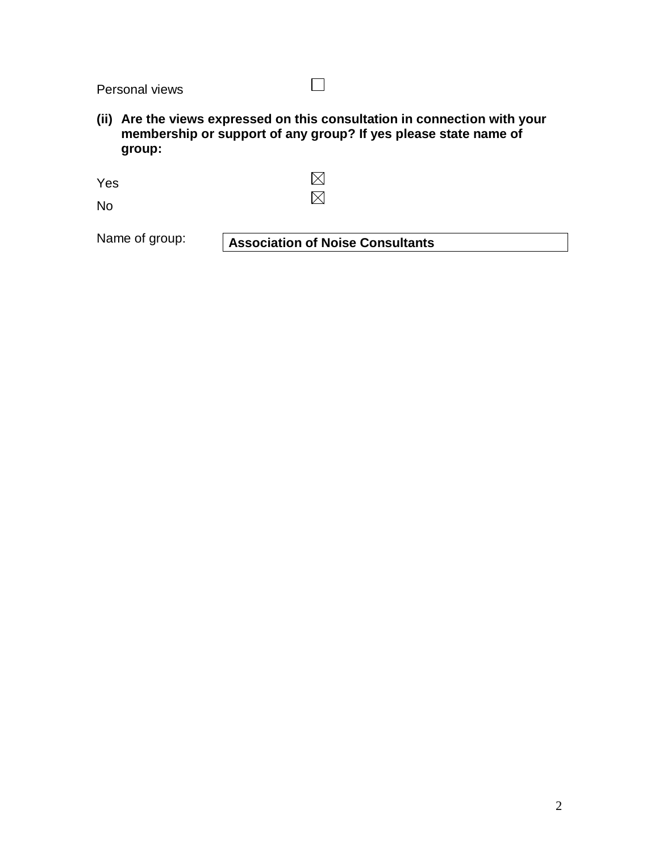Personal views

**(ii) Are the views expressed on this consultation in connection with your membership or support of any group? If yes please state name of group:**

 $\Box$ 

 $\boxtimes$ Yes  $\boxtimes$ 

No

Name of group: **Association of Noise Consultants**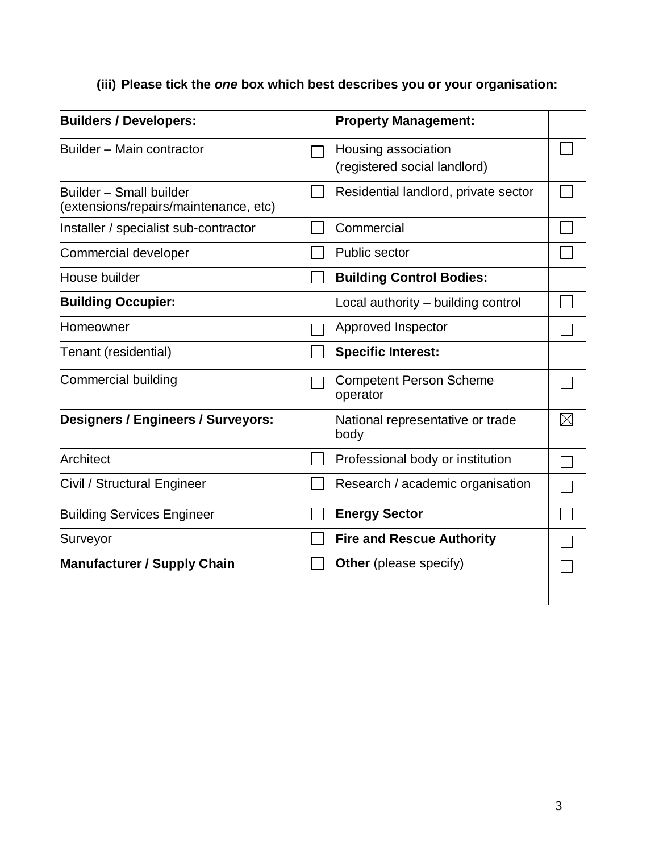#### **(iii) Please tick the** *one* **box which best describes you or your organisation:**

| <b>Builders / Developers:</b>                                    | <b>Property Management:</b>                         |             |
|------------------------------------------------------------------|-----------------------------------------------------|-------------|
| Builder - Main contractor                                        | Housing association<br>(registered social landlord) |             |
| Builder - Small builder<br>(extensions/repairs/maintenance, etc) | Residential landlord, private sector                |             |
| Installer / specialist sub-contractor                            | Commercial                                          |             |
| Commercial developer                                             | Public sector                                       |             |
| House builder                                                    | <b>Building Control Bodies:</b>                     |             |
| <b>Building Occupier:</b>                                        | Local authority – building control                  |             |
| Homeowner                                                        | Approved Inspector                                  |             |
| Tenant (residential)                                             | <b>Specific Interest:</b>                           |             |
| Commercial building                                              | <b>Competent Person Scheme</b><br>operator          |             |
| Designers / Engineers / Surveyors:                               | National representative or trade<br>body            | $\boxtimes$ |
| Architect                                                        | Professional body or institution                    |             |
| Civil / Structural Engineer                                      | Research / academic organisation                    |             |
| <b>Building Services Engineer</b>                                | <b>Energy Sector</b>                                |             |
| Surveyor                                                         | <b>Fire and Rescue Authority</b>                    |             |
| <b>Manufacturer / Supply Chain</b>                               | Other (please specify)                              |             |
|                                                                  |                                                     |             |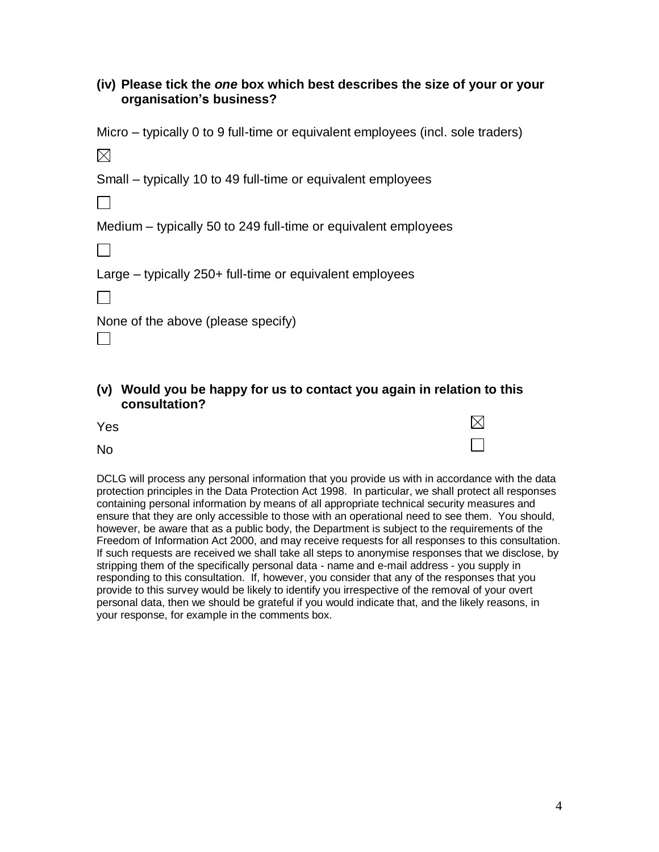#### **(iv) Please tick the** *one* **box which best describes the size of your or your organisation's business?**

Micro – typically 0 to 9 full-time or equivalent employees (incl. sole traders)

 $\boxtimes$ 

Small – typically 10 to 49 full-time or equivalent employees

Medium – typically 50 to 249 full-time or equivalent employees

П

Large – typically 250+ full-time or equivalent employees

 $\Box$ 

 $\Box$ 

None of the above (please specify)

#### **(v) Would you be happy for us to contact you again in relation to this consultation?**

| Yes       | $\boxtimes$              |
|-----------|--------------------------|
| <b>No</b> | $\overline{\phantom{a}}$ |

DCLG will process any personal information that you provide us with in accordance with the data protection principles in the Data Protection Act 1998. In particular, we shall protect all responses containing personal information by means of all appropriate technical security measures and ensure that they are only accessible to those with an operational need to see them. You should, however, be aware that as a public body, the Department is subject to the requirements of the Freedom of Information Act 2000, and may receive requests for all responses to this consultation. If such requests are received we shall take all steps to anonymise responses that we disclose, by stripping them of the specifically personal data - name and e-mail address - you supply in responding to this consultation. If, however, you consider that any of the responses that you provide to this survey would be likely to identify you irrespective of the removal of your overt personal data, then we should be grateful if you would indicate that, and the likely reasons, in your response, for example in the comments box.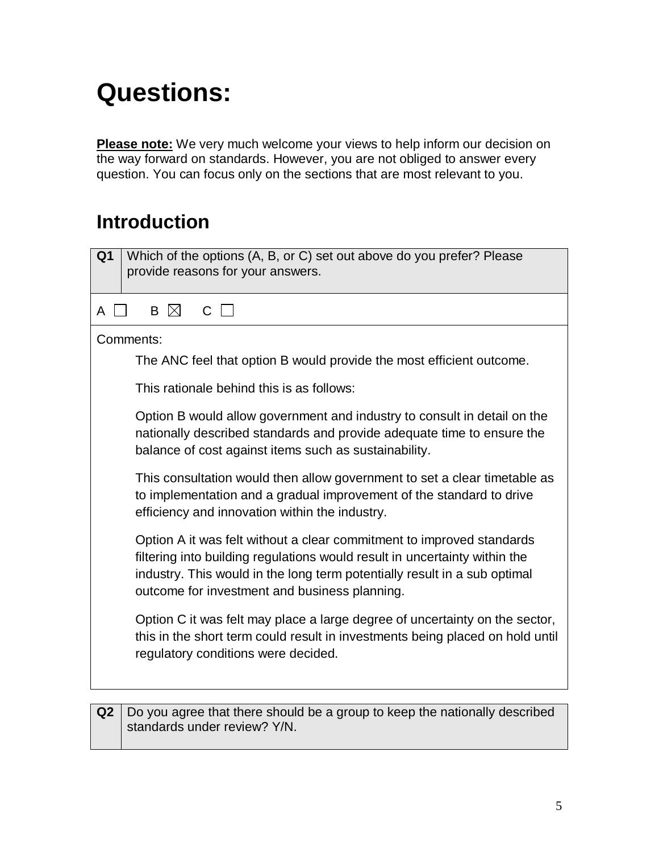# **Questions:**

**Please note:** We very much welcome your views to help inform our decision on the way forward on standards. However, you are not obliged to answer every question. You can focus only on the sections that are most relevant to you.

#### **Introduction**

| Which of the options (A, B, or C) set out above do you prefer? Please<br>Q <sub>1</sub>                                                                                                                                                                                           |
|-----------------------------------------------------------------------------------------------------------------------------------------------------------------------------------------------------------------------------------------------------------------------------------|
| provide reasons for your answers.                                                                                                                                                                                                                                                 |
| B M<br>$C$    <br>A                                                                                                                                                                                                                                                               |
| Comments:                                                                                                                                                                                                                                                                         |
| The ANC feel that option B would provide the most efficient outcome.                                                                                                                                                                                                              |
| This rationale behind this is as follows:                                                                                                                                                                                                                                         |
| Option B would allow government and industry to consult in detail on the<br>nationally described standards and provide adequate time to ensure the<br>balance of cost against items such as sustainability.                                                                       |
| This consultation would then allow government to set a clear timetable as<br>to implementation and a gradual improvement of the standard to drive<br>efficiency and innovation within the industry.                                                                               |
| Option A it was felt without a clear commitment to improved standards<br>filtering into building regulations would result in uncertainty within the<br>industry. This would in the long term potentially result in a sub optimal<br>outcome for investment and business planning. |
| Option C it was felt may place a large degree of uncertainty on the sector,<br>this in the short term could result in investments being placed on hold until<br>regulatory conditions were decided.                                                                               |
| Do you garge that there should be a group to keep the patienally described                                                                                                                                                                                                        |

**Q2** Do you agree that there should be a group to keep the nationally described standards under review? Y/N.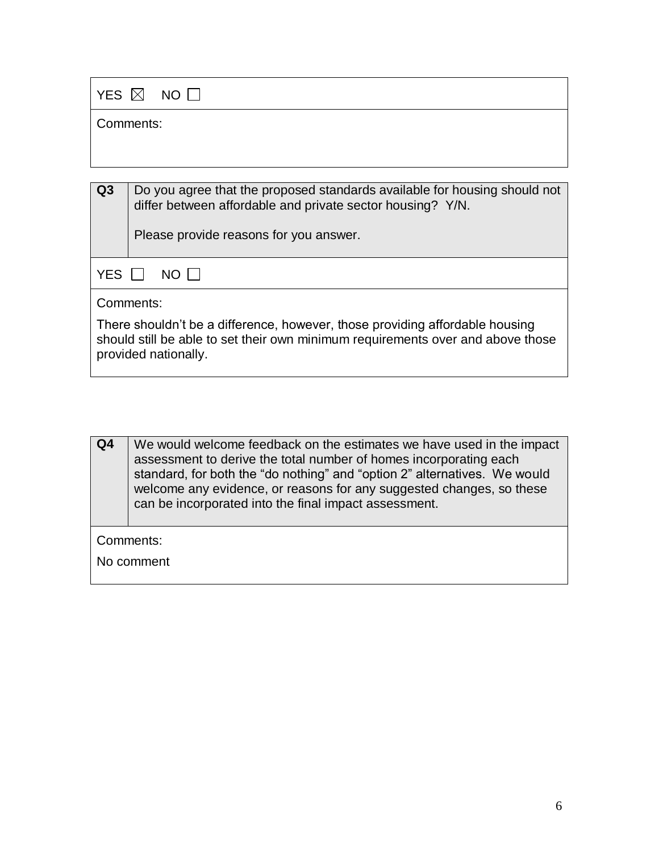|           | YES $\boxtimes$ NO $\Box$                                                                                                               |
|-----------|-----------------------------------------------------------------------------------------------------------------------------------------|
| Comments: |                                                                                                                                         |
|           |                                                                                                                                         |
|           |                                                                                                                                         |
| Q3        | Do you agree that the proposed standards available for housing should not<br>differ between affordable and private sector housing? Y/N. |
|           | Please provide reasons for you answer.                                                                                                  |
| YES       | NO I I                                                                                                                                  |
|           | Comments:                                                                                                                               |
|           | ┳ा । ।।।। ।। <i>€€</i> । । ।। ।।                                                                                                        |

There shouldn't be a difference, however, those providing affordable housing should still be able to set their own minimum requirements over and above those provided nationally.

| Q4                      | We would welcome feedback on the estimates we have used in the impact<br>assessment to derive the total number of homes incorporating each<br>standard, for both the "do nothing" and "option 2" alternatives. We would<br>welcome any evidence, or reasons for any suggested changes, so these<br>can be incorporated into the final impact assessment. |  |
|-------------------------|----------------------------------------------------------------------------------------------------------------------------------------------------------------------------------------------------------------------------------------------------------------------------------------------------------------------------------------------------------|--|
| Comments:<br>No comment |                                                                                                                                                                                                                                                                                                                                                          |  |
|                         |                                                                                                                                                                                                                                                                                                                                                          |  |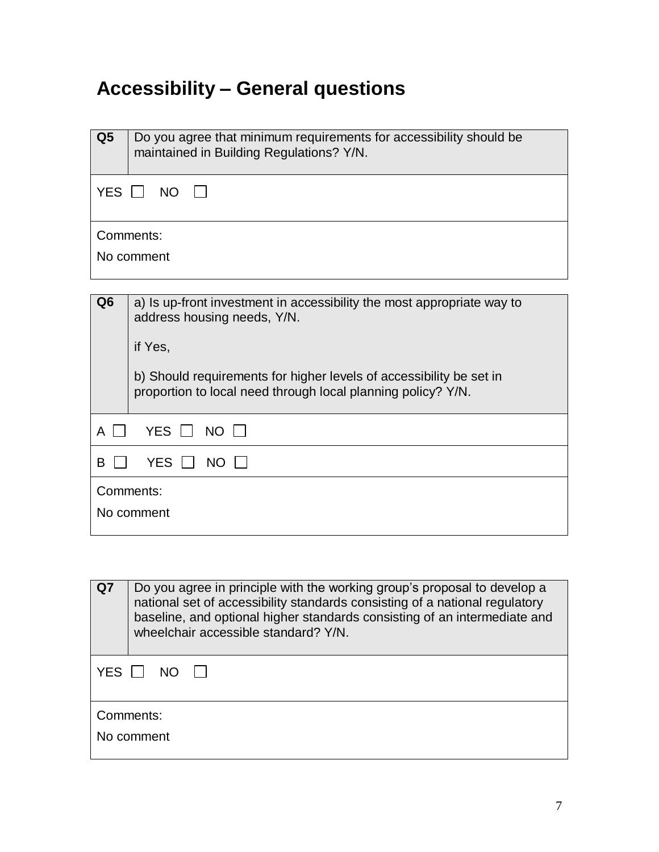## **Accessibility – General questions**

| Q <sub>5</sub>    | Do you agree that minimum requirements for accessibility should be<br>maintained in Building Regulations? Y/N.                      |
|-------------------|-------------------------------------------------------------------------------------------------------------------------------------|
|                   | YES $\Box$ NO $\Box$                                                                                                                |
|                   | Comments:                                                                                                                           |
|                   | No comment                                                                                                                          |
|                   |                                                                                                                                     |
| Q <sub>6</sub>    | a) Is up-front investment in accessibility the most appropriate way to<br>address housing needs, Y/N.                               |
|                   | if Yes,                                                                                                                             |
|                   | b) Should requirements for higher levels of accessibility be set in<br>proportion to local need through local planning policy? Y/N. |
| $\mathbf{1}$<br>A | YES NO                                                                                                                              |
| B                 | YES II<br>$NO \Box$                                                                                                                 |
| Comments:         |                                                                                                                                     |
|                   | No comment                                                                                                                          |

| Q7         | Do you agree in principle with the working group's proposal to develop a<br>national set of accessibility standards consisting of a national regulatory<br>baseline, and optional higher standards consisting of an intermediate and<br>wheelchair accessible standard? Y/N. |
|------------|------------------------------------------------------------------------------------------------------------------------------------------------------------------------------------------------------------------------------------------------------------------------------|
| <b>YES</b> | NΩ                                                                                                                                                                                                                                                                           |
|            | Comments:                                                                                                                                                                                                                                                                    |
|            | No comment                                                                                                                                                                                                                                                                   |
|            |                                                                                                                                                                                                                                                                              |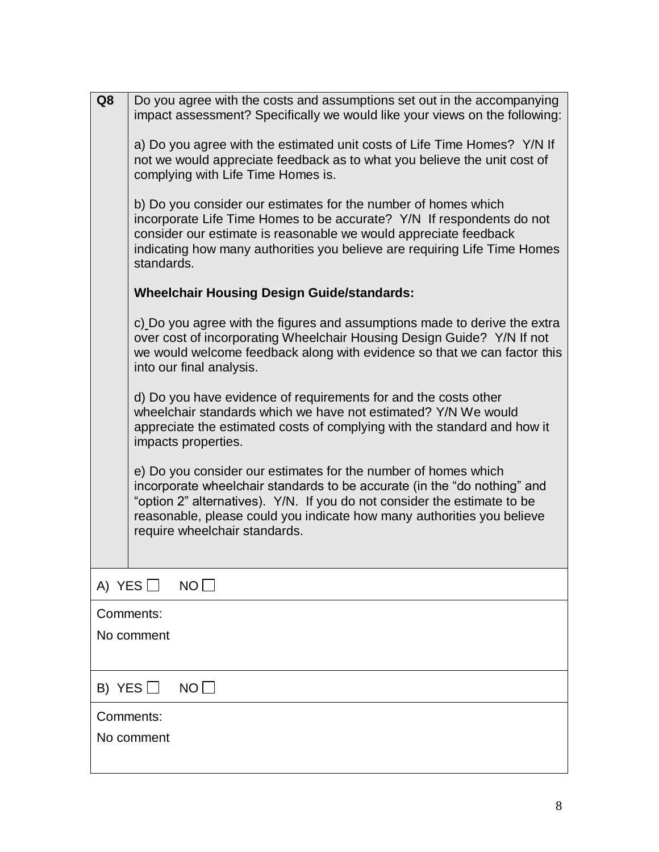| Q8            | Do you agree with the costs and assumptions set out in the accompanying<br>impact assessment? Specifically we would like your views on the following:                                                                                                                                                                             |
|---------------|-----------------------------------------------------------------------------------------------------------------------------------------------------------------------------------------------------------------------------------------------------------------------------------------------------------------------------------|
|               | a) Do you agree with the estimated unit costs of Life Time Homes? Y/N If<br>not we would appreciate feedback as to what you believe the unit cost of<br>complying with Life Time Homes is.                                                                                                                                        |
|               | b) Do you consider our estimates for the number of homes which<br>incorporate Life Time Homes to be accurate? Y/N If respondents do not<br>consider our estimate is reasonable we would appreciate feedback<br>indicating how many authorities you believe are requiring Life Time Homes<br>standards.                            |
|               | <b>Wheelchair Housing Design Guide/standards:</b>                                                                                                                                                                                                                                                                                 |
|               | c) Do you agree with the figures and assumptions made to derive the extra<br>over cost of incorporating Wheelchair Housing Design Guide? Y/N If not<br>we would welcome feedback along with evidence so that we can factor this<br>into our final analysis.                                                                       |
|               | d) Do you have evidence of requirements for and the costs other<br>wheelchair standards which we have not estimated? Y/N We would<br>appreciate the estimated costs of complying with the standard and how it<br>impacts properties.                                                                                              |
|               | e) Do you consider our estimates for the number of homes which<br>incorporate wheelchair standards to be accurate (in the "do nothing" and<br>"option 2" alternatives). Y/N. If you do not consider the estimate to be<br>reasonable, please could you indicate how many authorities you believe<br>require wheelchair standards. |
| A) YES $\Box$ | $NO$ $\Box$                                                                                                                                                                                                                                                                                                                       |
| Comments:     |                                                                                                                                                                                                                                                                                                                                   |
|               | No comment                                                                                                                                                                                                                                                                                                                        |
| B) YES $\Box$ | NO                                                                                                                                                                                                                                                                                                                                |
| Comments:     |                                                                                                                                                                                                                                                                                                                                   |
|               | No comment                                                                                                                                                                                                                                                                                                                        |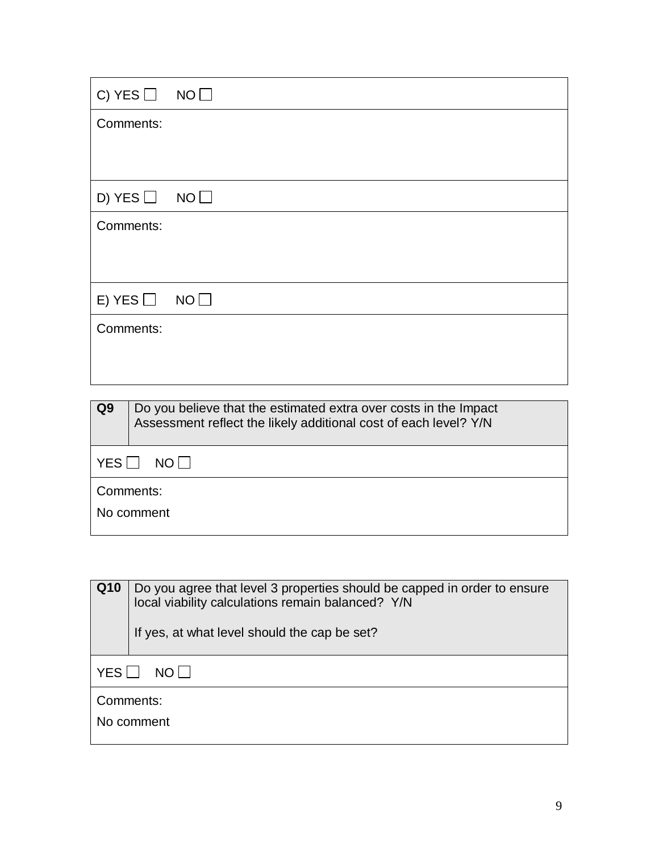| C) YES $\Box$ NO $\Box$ |  |
|-------------------------|--|
| Comments:               |  |
|                         |  |
| D) YES $\Box$ NO $\Box$ |  |
| Comments:               |  |
|                         |  |
| E) YES $\Box$ NO $\Box$ |  |
| Comments:               |  |
|                         |  |
|                         |  |

| Q <sub>9</sub> | Do you believe that the estimated extra over costs in the Impact<br>Assessment reflect the likely additional cost of each level? Y/N |  |  |
|----------------|--------------------------------------------------------------------------------------------------------------------------------------|--|--|
|                | ∣ YES ∐<br>NO I I                                                                                                                    |  |  |
|                | Comments:<br>No comment                                                                                                              |  |  |

| Q <sub>10</sub> | Do you agree that level 3 properties should be capped in order to ensure<br>local viability calculations remain balanced? Y/N<br>If yes, at what level should the cap be set? |  |
|-----------------|-------------------------------------------------------------------------------------------------------------------------------------------------------------------------------|--|
| YES<br>$NO$     |                                                                                                                                                                               |  |
| Comments:       |                                                                                                                                                                               |  |
|                 | No comment                                                                                                                                                                    |  |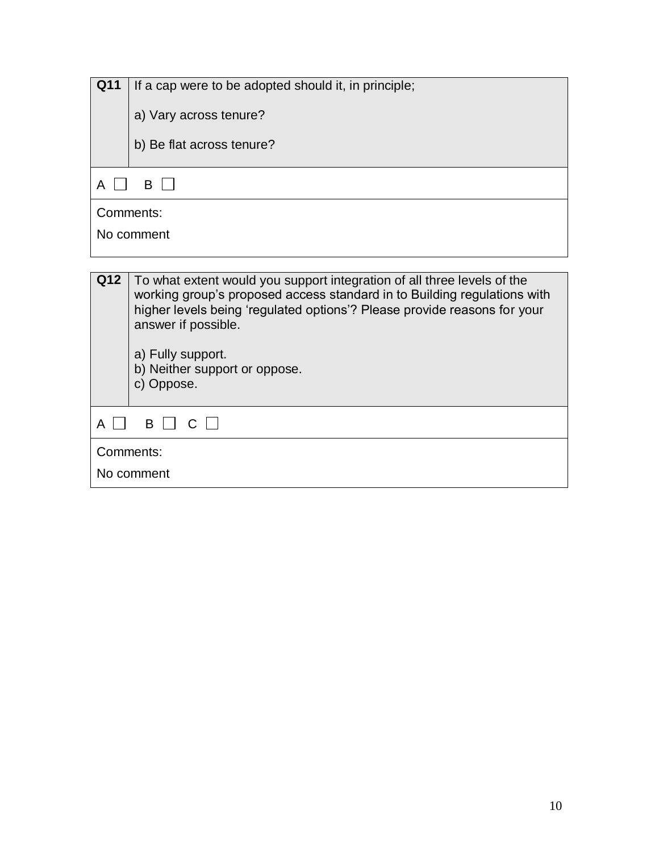| Q11        |                                                                         |  |
|------------|-------------------------------------------------------------------------|--|
|            | If a cap were to be adopted should it, in principle;                    |  |
|            |                                                                         |  |
|            | a) Vary across tenure?                                                  |  |
|            |                                                                         |  |
|            |                                                                         |  |
|            | b) Be flat across tenure?                                               |  |
|            |                                                                         |  |
|            |                                                                         |  |
| A          | B<br>$\mathbf{I}$                                                       |  |
|            |                                                                         |  |
| Comments:  |                                                                         |  |
|            |                                                                         |  |
|            | No comment                                                              |  |
|            |                                                                         |  |
|            |                                                                         |  |
| <b>012</b> | To what extent would you support integration of all three levels of the |  |

| Q12       | To what extent would you support integration of all three levels of the<br>working group's proposed access standard in to Building regulations with<br>higher levels being 'regulated options'? Please provide reasons for your<br>answer if possible.<br>a) Fully support.<br>b) Neither support or oppose.<br>c) Oppose. |  |
|-----------|----------------------------------------------------------------------------------------------------------------------------------------------------------------------------------------------------------------------------------------------------------------------------------------------------------------------------|--|
|           | B    <br>$\mathsf{C}$                                                                                                                                                                                                                                                                                                      |  |
| Comments: |                                                                                                                                                                                                                                                                                                                            |  |
|           | No comment                                                                                                                                                                                                                                                                                                                 |  |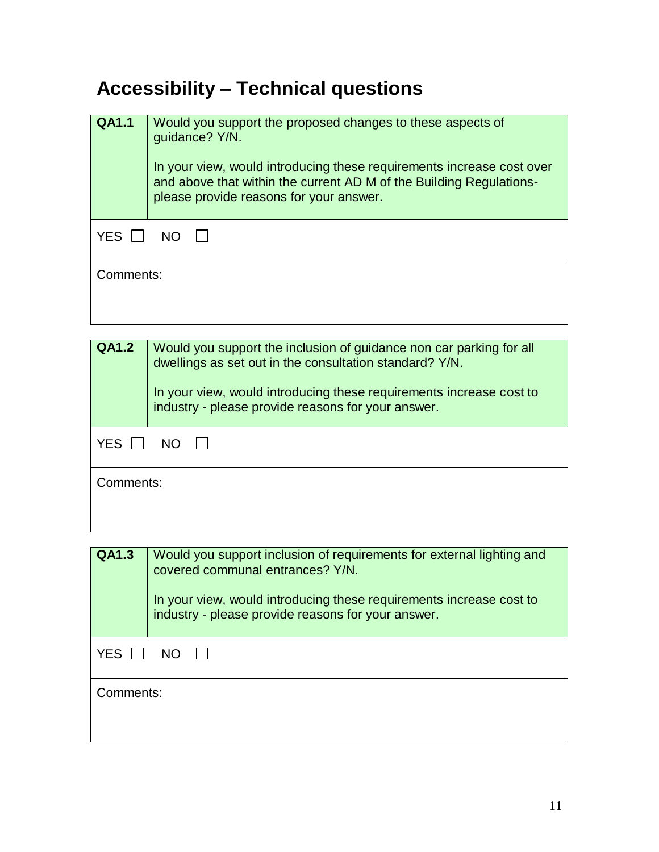## **Accessibility – Technical questions**

| <b>QA1.1</b> | Would you support the proposed changes to these aspects of<br>guidance? Y/N.<br>In your view, would introducing these requirements increase cost over<br>and above that within the current AD M of the Building Regulations-<br>please provide reasons for your answer. |  |
|--------------|-------------------------------------------------------------------------------------------------------------------------------------------------------------------------------------------------------------------------------------------------------------------------|--|
| YES          | NO.                                                                                                                                                                                                                                                                     |  |
| Comments:    |                                                                                                                                                                                                                                                                         |  |

| <b>QA1.2</b>      | Would you support the inclusion of guidance non car parking for all<br>dwellings as set out in the consultation standard? Y/N.<br>In your view, would introducing these requirements increase cost to<br>industry - please provide reasons for your answer. |  |
|-------------------|-------------------------------------------------------------------------------------------------------------------------------------------------------------------------------------------------------------------------------------------------------------|--|
| <b>YES</b><br>NO. |                                                                                                                                                                                                                                                             |  |
|                   | Comments:                                                                                                                                                                                                                                                   |  |

| QA1.3        | Would you support inclusion of requirements for external lighting and<br>covered communal entrances? Y/N.<br>In your view, would introducing these requirements increase cost to<br>industry - please provide reasons for your answer. |
|--------------|----------------------------------------------------------------------------------------------------------------------------------------------------------------------------------------------------------------------------------------|
| YES I<br>NO. |                                                                                                                                                                                                                                        |
| Comments:    |                                                                                                                                                                                                                                        |
|              |                                                                                                                                                                                                                                        |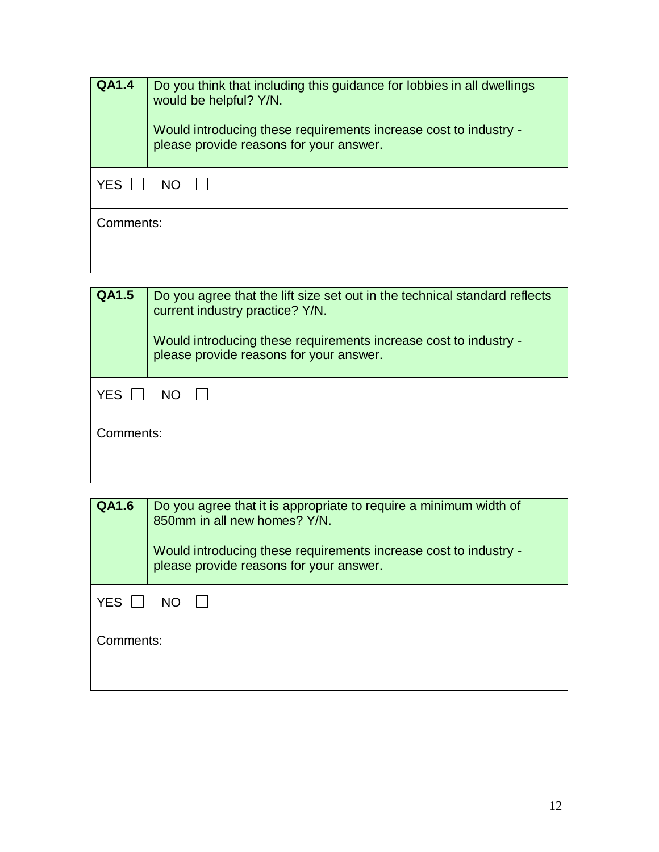| <b>QA1.4</b>       | Do you think that including this guidance for lobbies in all dwellings<br>would be helpful? Y/N.<br>Would introducing these requirements increase cost to industry -<br>please provide reasons for your answer. |
|--------------------|-----------------------------------------------------------------------------------------------------------------------------------------------------------------------------------------------------------------|
| YES I<br><b>NO</b> |                                                                                                                                                                                                                 |
| Comments:          |                                                                                                                                                                                                                 |

| <b>QA1.5</b> | Do you agree that the lift size set out in the technical standard reflects<br>current industry practice? Y/N.<br>Would introducing these requirements increase cost to industry -<br>please provide reasons for your answer. |  |
|--------------|------------------------------------------------------------------------------------------------------------------------------------------------------------------------------------------------------------------------------|--|
| <b>YES</b>   | NO.                                                                                                                                                                                                                          |  |
|              | Comments:                                                                                                                                                                                                                    |  |

| <b>QA1.6</b>      | Do you agree that it is appropriate to require a minimum width of<br>850mm in all new homes? Y/N.<br>Would introducing these requirements increase cost to industry -<br>please provide reasons for your answer. |  |
|-------------------|------------------------------------------------------------------------------------------------------------------------------------------------------------------------------------------------------------------|--|
| <b>YES</b><br>NO. |                                                                                                                                                                                                                  |  |
|                   | Comments:                                                                                                                                                                                                        |  |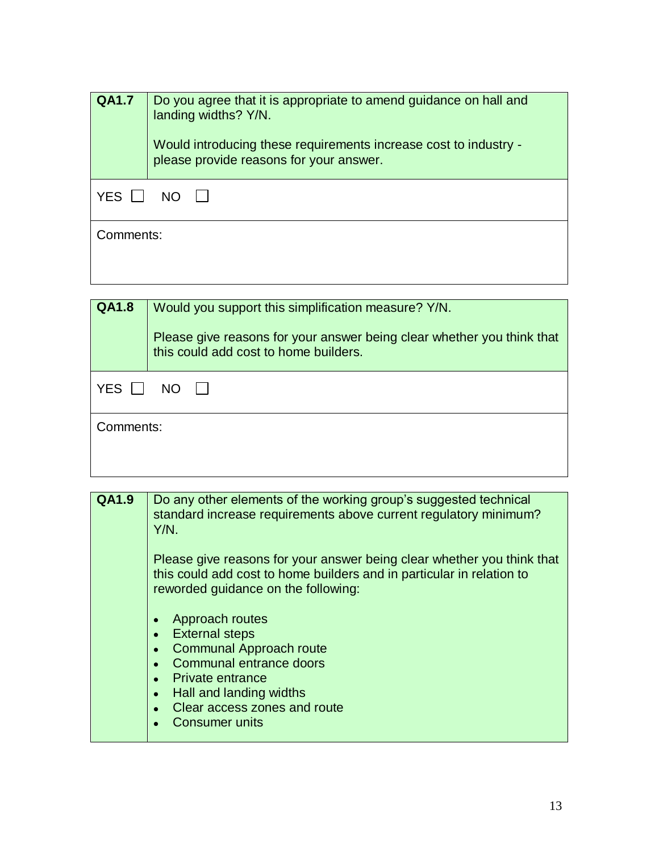| <b>QA1.7</b>       | Do you agree that it is appropriate to amend guidance on hall and<br>landing widths? Y/N.<br>Would introducing these requirements increase cost to industry -<br>please provide reasons for your answer. |
|--------------------|----------------------------------------------------------------------------------------------------------------------------------------------------------------------------------------------------------|
| YES I<br><b>NO</b> |                                                                                                                                                                                                          |
| Comments:          |                                                                                                                                                                                                          |
|                    |                                                                                                                                                                                                          |

| <b>QA1.8</b>       | Would you support this simplification measure? Y/N.<br>Please give reasons for your answer being clear whether you think that<br>this could add cost to home builders. |  |
|--------------------|------------------------------------------------------------------------------------------------------------------------------------------------------------------------|--|
| YES I<br><b>NO</b> |                                                                                                                                                                        |  |
|                    | Comments:                                                                                                                                                              |  |

| <b>QA1.9</b> | Do any other elements of the working group's suggested technical<br>standard increase requirements above current regulatory minimum?<br>$Y/N$ .                                                                                                                          |
|--------------|--------------------------------------------------------------------------------------------------------------------------------------------------------------------------------------------------------------------------------------------------------------------------|
|              | Please give reasons for your answer being clear whether you think that<br>this could add cost to home builders and in particular in relation to<br>reworded guidance on the following:                                                                                   |
|              | Approach routes<br>$\bullet$<br><b>External steps</b><br>$\bullet$<br><b>Communal Approach route</b><br>Communal entrance doors<br><b>Private entrance</b><br>$\bullet$<br>Hall and landing widths<br>$\bullet$<br>Clear access zones and route<br><b>Consumer units</b> |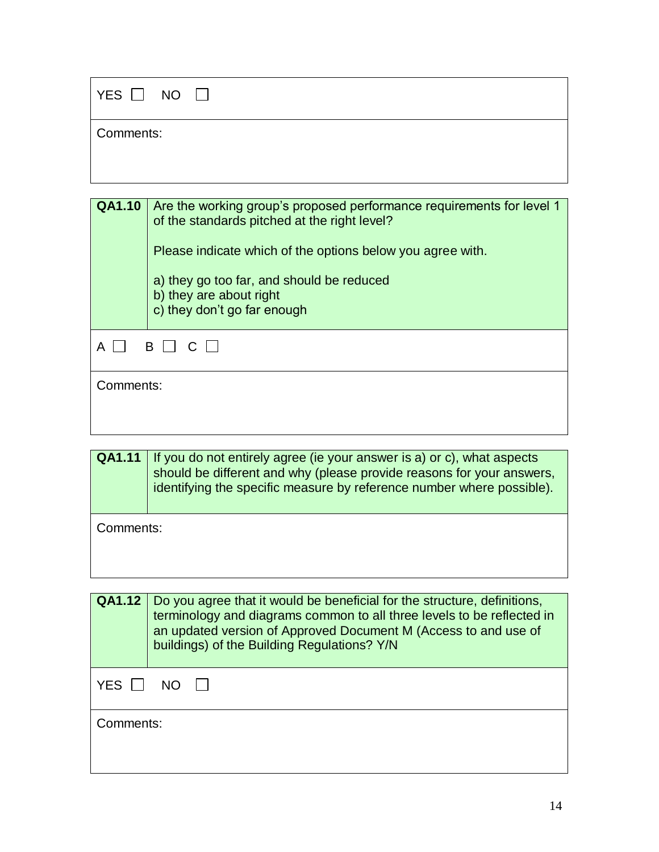| $YES \Box NO \Box$ |
|--------------------|
| Comments:          |

|           | <b>QA1.10</b>   Are the working group's proposed performance requirements for level 1<br>of the standards pitched at the right level?<br>Please indicate which of the options below you agree with.<br>a) they go too far, and should be reduced<br>b) they are about right<br>c) they don't go far enough |
|-----------|------------------------------------------------------------------------------------------------------------------------------------------------------------------------------------------------------------------------------------------------------------------------------------------------------------|
|           | <b>B</b> I                                                                                                                                                                                                                                                                                                 |
| Comments: |                                                                                                                                                                                                                                                                                                            |

| <b>QA1.11</b> If you do not entirely agree (ie your answer is a) or c), what aspects<br>should be different and why (please provide reasons for your answers,<br>identifying the specific measure by reference number where possible). |
|----------------------------------------------------------------------------------------------------------------------------------------------------------------------------------------------------------------------------------------|
|                                                                                                                                                                                                                                        |
|                                                                                                                                                                                                                                        |

Comments:

| <b>QA1.12</b> | Do you agree that it would be beneficial for the structure, definitions,<br>terminology and diagrams common to all three levels to be reflected in<br>an updated version of Approved Document M (Access to and use of<br>buildings) of the Building Regulations? Y/N |
|---------------|----------------------------------------------------------------------------------------------------------------------------------------------------------------------------------------------------------------------------------------------------------------------|
| <b>YES</b>    |                                                                                                                                                                                                                                                                      |
| Comments:     |                                                                                                                                                                                                                                                                      |
|               |                                                                                                                                                                                                                                                                      |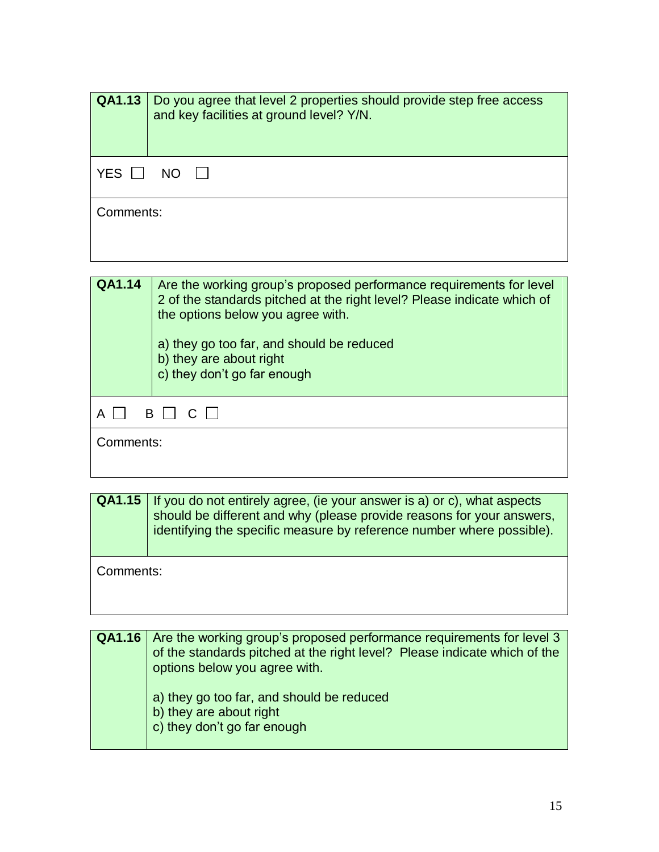|           | <b>QA1.13</b>   Do you agree that level 2 properties should provide step free access<br>and key facilities at ground level? Y/N. |
|-----------|----------------------------------------------------------------------------------------------------------------------------------|
| YES       | NO.                                                                                                                              |
| Comments: |                                                                                                                                  |



**QA1.15** If you do not entirely agree, (ie your answer is a) or c), what aspects should be different and why (please provide reasons for your answers, identifying the specific measure by reference number where possible).

Comments:

| <b>QA1.16</b> Are the working group's proposed performance requirements for level 3<br>of the standards pitched at the right level? Please indicate which of the<br>options below you agree with. |
|---------------------------------------------------------------------------------------------------------------------------------------------------------------------------------------------------|
| a) they go too far, and should be reduced<br>b) they are about right<br>c) they don't go far enough                                                                                               |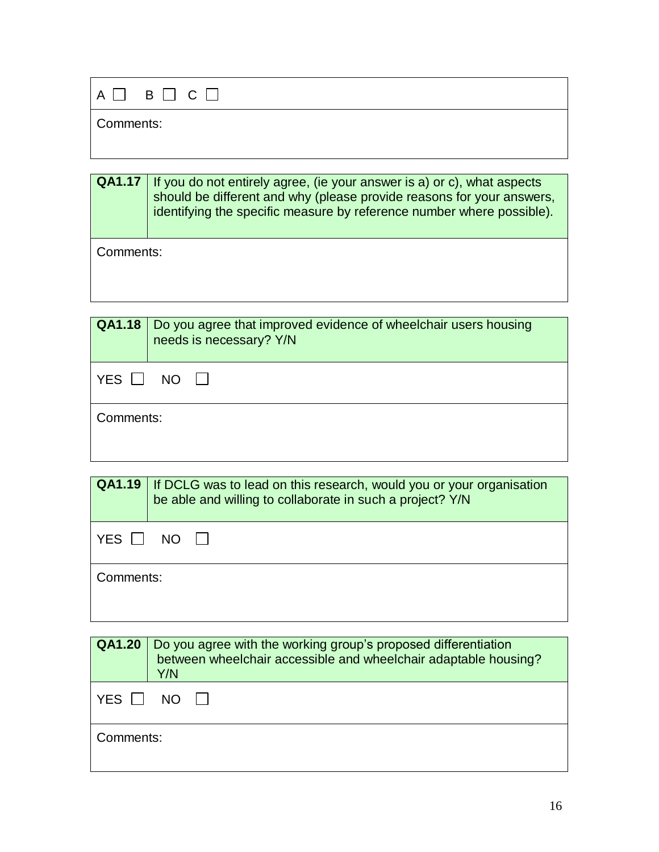| $A \Box B \Box C \Box$ |  |
|------------------------|--|
| Comments:              |  |

| <b>QA1.17</b> | If you do not entirely agree, (ie your answer is a) or c), what aspects<br>should be different and why (please provide reasons for your answers,<br>identifying the specific measure by reference number where possible). |
|---------------|---------------------------------------------------------------------------------------------------------------------------------------------------------------------------------------------------------------------------|
| Comments:     |                                                                                                                                                                                                                           |

| <b>QA1.18</b> | Do you agree that improved evidence of wheelchair users housing<br>needs is necessary? Y/N |
|---------------|--------------------------------------------------------------------------------------------|
| YES           | NO.                                                                                        |
| Comments:     |                                                                                            |

|                 | <b>QA1.19</b> If DCLG was to lead on this research, would you or your organisation<br>be able and willing to collaborate in such a project? Y/N |
|-----------------|-------------------------------------------------------------------------------------------------------------------------------------------------|
| YES    <br>NO 1 |                                                                                                                                                 |
| Comments:       |                                                                                                                                                 |

| <b>QA1.20</b> | Do you agree with the working group's proposed differentiation<br>between wheelchair accessible and wheelchair adaptable housing?<br>Y/N |
|---------------|------------------------------------------------------------------------------------------------------------------------------------------|
| <b>YES</b>    | NO.                                                                                                                                      |
| Comments:     |                                                                                                                                          |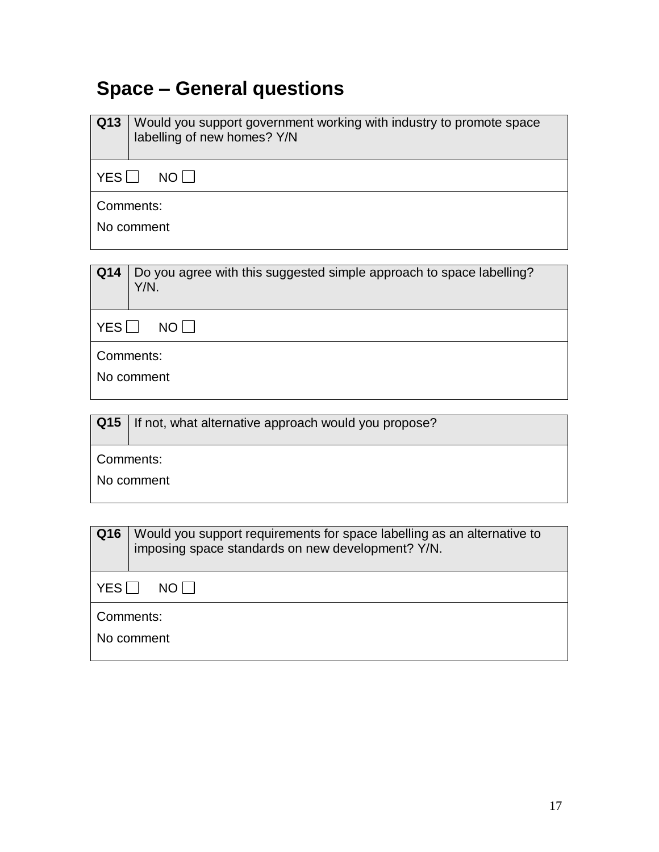## **Space – General questions**

| Would you support government working with industry to promote space<br>labelling of new homes? Y/N |  |
|----------------------------------------------------------------------------------------------------|--|
| YESII<br>NO I I                                                                                    |  |
| Comments:                                                                                          |  |
| No comment                                                                                         |  |
|                                                                                                    |  |

| <b>Q14</b>   Do you agree with this suggested simple approach to space labelling?<br>Y/N. |
|-------------------------------------------------------------------------------------------|
| YESI NOII                                                                                 |

Comments:

No comment

| Q15   If not, what alternative approach would you propose? |  |
|------------------------------------------------------------|--|
|                                                            |  |

Comments:

No comment

| Q16                     | Would you support requirements for space labelling as an alternative to<br>imposing space standards on new development? Y/N. |
|-------------------------|------------------------------------------------------------------------------------------------------------------------------|
| YES I I<br>NO LI        |                                                                                                                              |
| Comments:<br>No comment |                                                                                                                              |
|                         |                                                                                                                              |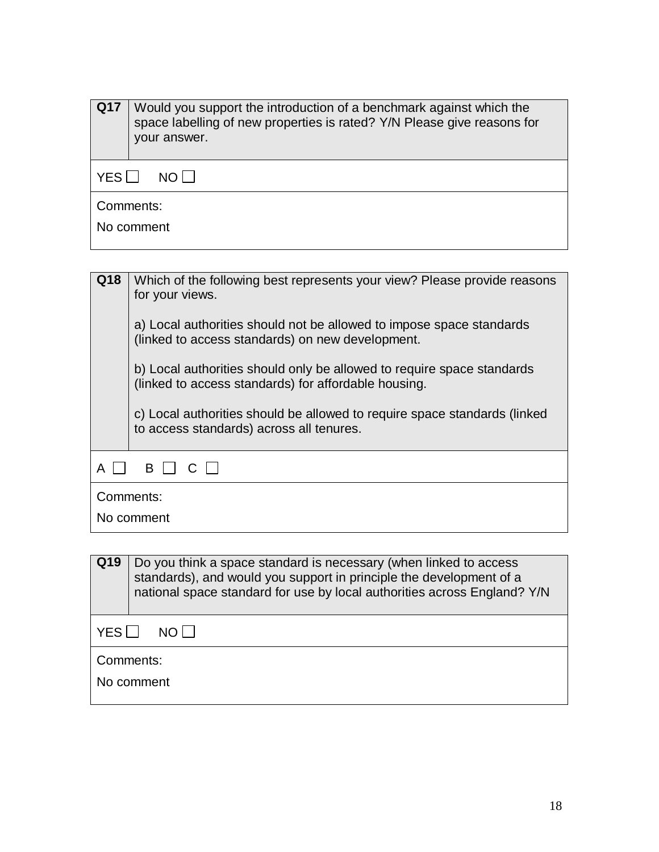| <b>Q17</b>              | Would you support the introduction of a benchmark against which the<br>space labelling of new properties is rated? Y/N Please give reasons for<br>your answer. |
|-------------------------|----------------------------------------------------------------------------------------------------------------------------------------------------------------|
| YES II<br>NO LI         |                                                                                                                                                                |
| Comments:<br>No comment |                                                                                                                                                                |

| Q18        | Which of the following best represents your view? Please provide reasons<br>for your views.<br>a) Local authorities should not be allowed to impose space standards<br>(linked to access standards) on new development. |
|------------|-------------------------------------------------------------------------------------------------------------------------------------------------------------------------------------------------------------------------|
|            | b) Local authorities should only be allowed to require space standards<br>(linked to access standards) for affordable housing.                                                                                          |
|            | c) Local authorities should be allowed to require space standards (linked<br>to access standards) across all tenures.                                                                                                   |
| B I<br>A   |                                                                                                                                                                                                                         |
| Comments:  |                                                                                                                                                                                                                         |
| No comment |                                                                                                                                                                                                                         |

| Q19               | Do you think a space standard is necessary (when linked to access<br>standards), and would you support in principle the development of a<br>national space standard for use by local authorities across England? Y/N |
|-------------------|----------------------------------------------------------------------------------------------------------------------------------------------------------------------------------------------------------------------|
| <b>YES</b><br>NOT |                                                                                                                                                                                                                      |
| Comments:         |                                                                                                                                                                                                                      |
| No comment        |                                                                                                                                                                                                                      |
|                   |                                                                                                                                                                                                                      |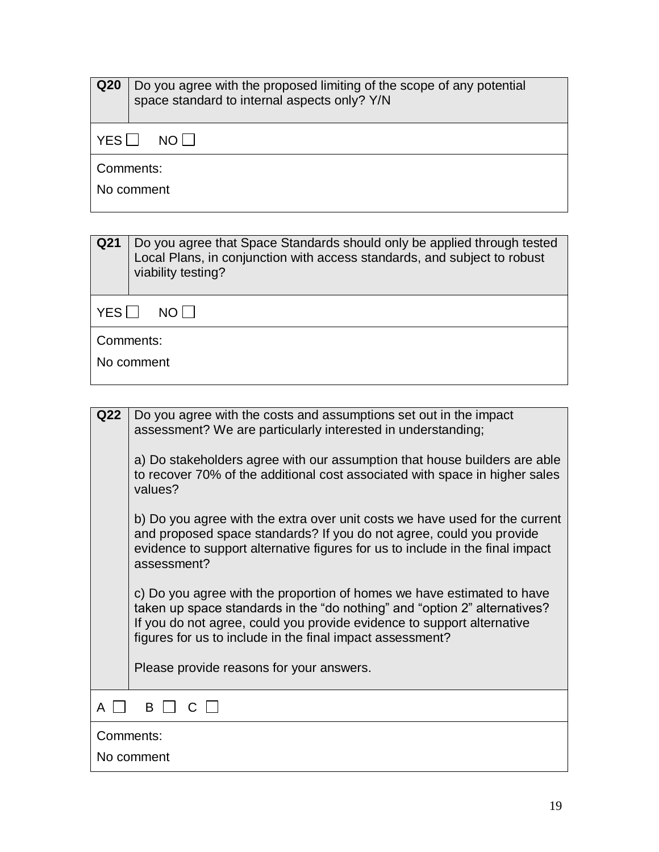| Q <sub>20</sub>              | Do you agree with the proposed limiting of the scope of any potential<br>space standard to internal aspects only? Y/N |
|------------------------------|-----------------------------------------------------------------------------------------------------------------------|
| YES∐<br>$NO$ $\vert$ $\vert$ |                                                                                                                       |
| Comments:<br>No comment      |                                                                                                                       |

| Q21        | Do you agree that Space Standards should only be applied through tested<br>Local Plans, in conjunction with access standards, and subject to robust<br>viability testing? |
|------------|---------------------------------------------------------------------------------------------------------------------------------------------------------------------------|
| YES        | NO I I                                                                                                                                                                    |
| Comments:  |                                                                                                                                                                           |
| No comment |                                                                                                                                                                           |
|            |                                                                                                                                                                           |

| Q22              | Do you agree with the costs and assumptions set out in the impact<br>assessment? We are particularly interested in understanding;                                                                                                                                                          |
|------------------|--------------------------------------------------------------------------------------------------------------------------------------------------------------------------------------------------------------------------------------------------------------------------------------------|
|                  | a) Do stakeholders agree with our assumption that house builders are able<br>to recover 70% of the additional cost associated with space in higher sales<br>values?                                                                                                                        |
|                  | b) Do you agree with the extra over unit costs we have used for the current<br>and proposed space standards? If you do not agree, could you provide<br>evidence to support alternative figures for us to include in the final impact<br>assessment?                                        |
|                  | c) Do you agree with the proportion of homes we have estimated to have<br>taken up space standards in the "do nothing" and "option 2" alternatives?<br>If you do not agree, could you provide evidence to support alternative<br>figures for us to include in the final impact assessment? |
|                  | Please provide reasons for your answers.                                                                                                                                                                                                                                                   |
| B<br>$\cap$<br>A |                                                                                                                                                                                                                                                                                            |
| Comments:        |                                                                                                                                                                                                                                                                                            |
| No comment       |                                                                                                                                                                                                                                                                                            |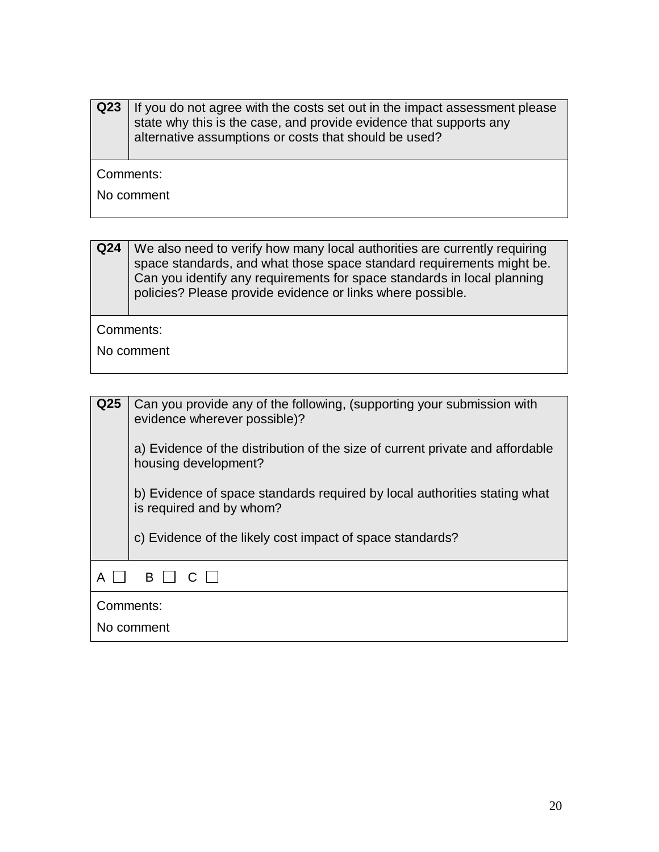| Q <sub>23</sub> | If you do not agree with the costs set out in the impact assessment please<br>state why this is the case, and provide evidence that supports any<br>alternative assumptions or costs that should be used? |  |
|-----------------|-----------------------------------------------------------------------------------------------------------------------------------------------------------------------------------------------------------|--|
|                 | Comments:                                                                                                                                                                                                 |  |
| No comment      |                                                                                                                                                                                                           |  |
|                 |                                                                                                                                                                                                           |  |

**Q24** We also need to verify how many local authorities are currently requiring space standards, and what those space standard requirements might be. Can you identify any requirements for space standards in local planning policies? Please provide evidence or links where possible.

Comments:

No comment

| Q <sub>25</sub> | Can you provide any of the following, (supporting your submission with<br>evidence wherever possible)?<br>a) Evidence of the distribution of the size of current private and affordable<br>housing development?<br>b) Evidence of space standards required by local authorities stating what<br>is required and by whom? |
|-----------------|--------------------------------------------------------------------------------------------------------------------------------------------------------------------------------------------------------------------------------------------------------------------------------------------------------------------------|
|                 | c) Evidence of the likely cost impact of space standards?                                                                                                                                                                                                                                                                |
|                 | B.                                                                                                                                                                                                                                                                                                                       |
|                 | Comments:<br>No comment                                                                                                                                                                                                                                                                                                  |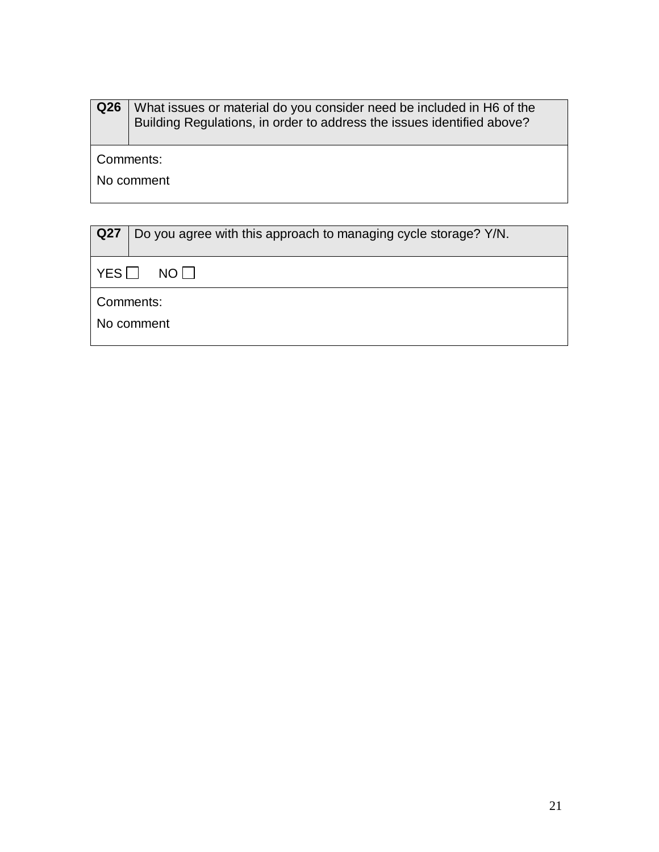| Q <sub>26</sub> | What issues or material do you consider need be included in H6 of the<br>Building Regulations, in order to address the issues identified above? |
|-----------------|-------------------------------------------------------------------------------------------------------------------------------------------------|
| Comments:       |                                                                                                                                                 |
| No comment      |                                                                                                                                                 |
|                 |                                                                                                                                                 |
|                 |                                                                                                                                                 |

| Q27               | Do you agree with this approach to managing cycle storage? Y/N. |
|-------------------|-----------------------------------------------------------------|
| $\mid$ YES $\Box$ | NO I I                                                          |
| Comments:         |                                                                 |
| No comment        |                                                                 |
|                   |                                                                 |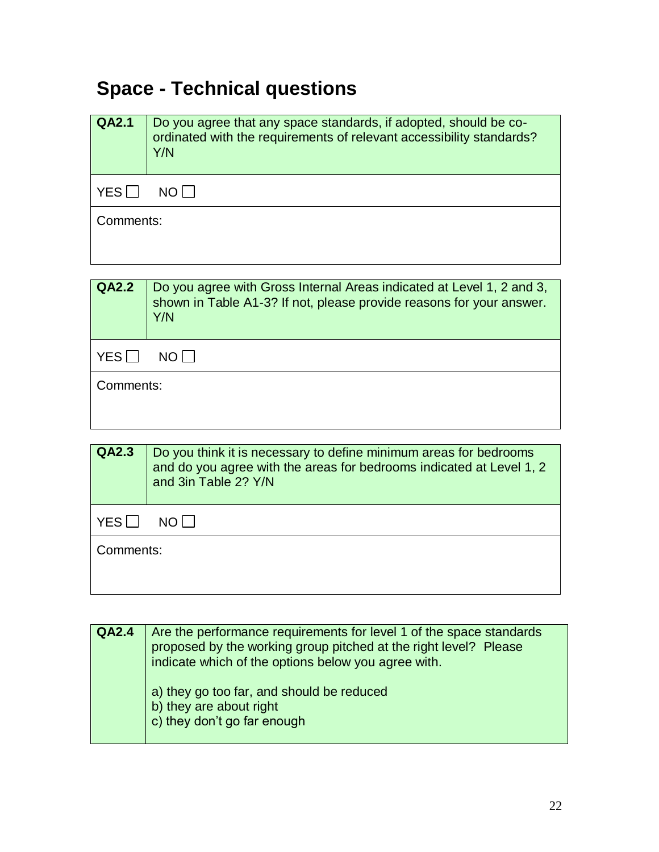## **Space - Technical questions**

| <b>QA2.1</b> | Do you agree that any space standards, if adopted, should be co-<br>ordinated with the requirements of relevant accessibility standards?<br>Y/N |
|--------------|-------------------------------------------------------------------------------------------------------------------------------------------------|
| <b>YES</b>   | $N$ $\cap$ $\perp$                                                                                                                              |
| Comments:    |                                                                                                                                                 |
|              |                                                                                                                                                 |

| <b>QA2.2</b> | Do you agree with Gross Internal Areas indicated at Level 1, 2 and 3,<br>shown in Table A1-3? If not, please provide reasons for your answer.<br>Y/N |
|--------------|------------------------------------------------------------------------------------------------------------------------------------------------------|
| YES          | NO LI                                                                                                                                                |
| Comments:    |                                                                                                                                                      |

| QA2.3     | Do you think it is necessary to define minimum areas for bedrooms<br>and do you agree with the areas for bedrooms indicated at Level 1, 2<br>and 3in Table 2? Y/N |
|-----------|-------------------------------------------------------------------------------------------------------------------------------------------------------------------|
| YES       | NO LI                                                                                                                                                             |
| Comments: |                                                                                                                                                                   |
|           |                                                                                                                                                                   |

| <b>QA2.4</b> | Are the performance requirements for level 1 of the space standards<br>proposed by the working group pitched at the right level? Please<br>indicate which of the options below you agree with. |
|--------------|------------------------------------------------------------------------------------------------------------------------------------------------------------------------------------------------|
|              | a) they go too far, and should be reduced<br>b) they are about right<br>c) they don't go far enough                                                                                            |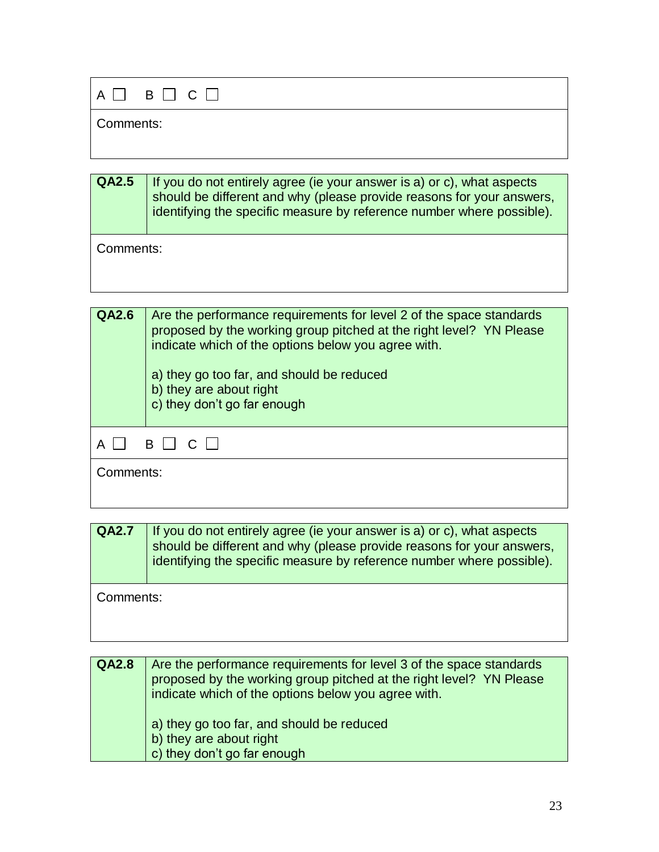| $A \square$ $B \square$ $C \square$ |  |
|-------------------------------------|--|
| Comments:                           |  |

| $\overline{QA2.5}$   If you do not entirely agree (ie your answer is a) or c), what aspects |
|---------------------------------------------------------------------------------------------|
| should be different and why (please provide reasons for your answers,                       |
| identifying the specific measure by reference number where possible).                       |
|                                                                                             |

Comments:

| QA2.6     | Are the performance requirements for level 2 of the space standards<br>proposed by the working group pitched at the right level? YN Please<br>indicate which of the options below you agree with.<br>a) they go too far, and should be reduced<br>b) they are about right<br>c) they don't go far enough |
|-----------|----------------------------------------------------------------------------------------------------------------------------------------------------------------------------------------------------------------------------------------------------------------------------------------------------------|
|           | BII<br>$\cap$                                                                                                                                                                                                                                                                                            |
| Comments: |                                                                                                                                                                                                                                                                                                          |

| <b>QA2.7</b> | If you do not entirely agree (ie your answer is a) or c), what aspects<br>should be different and why (please provide reasons for your answers,<br>identifying the specific measure by reference number where possible). |
|--------------|--------------------------------------------------------------------------------------------------------------------------------------------------------------------------------------------------------------------------|
| Comments:    |                                                                                                                                                                                                                          |

**QA2.8** Are the performance requirements for level 3 of the space standards proposed by the working group pitched at the right level? YN Please indicate which of the options below you agree with. a) they go too far, and should be reduced b) they are about right c) they don't go far enough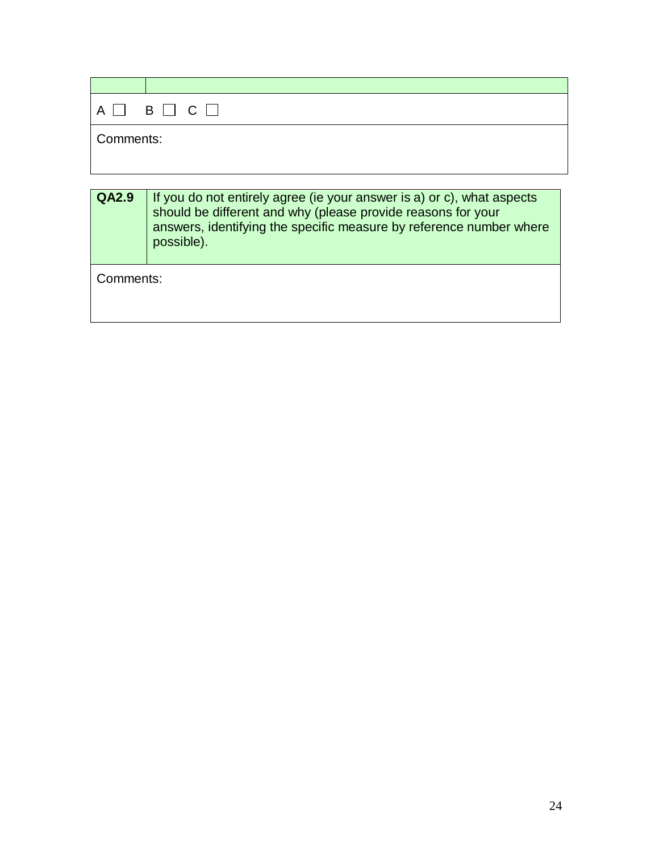|           | $A \Box B \Box C \Box$ |
|-----------|------------------------|
| Comments: |                        |

| $\overline{QA2.9}$ | If you do not entirely agree (ie your answer is a) or c), what aspects<br>should be different and why (please provide reasons for your<br>answers, identifying the specific measure by reference number where<br>possible). |
|--------------------|-----------------------------------------------------------------------------------------------------------------------------------------------------------------------------------------------------------------------------|
| Comments:          |                                                                                                                                                                                                                             |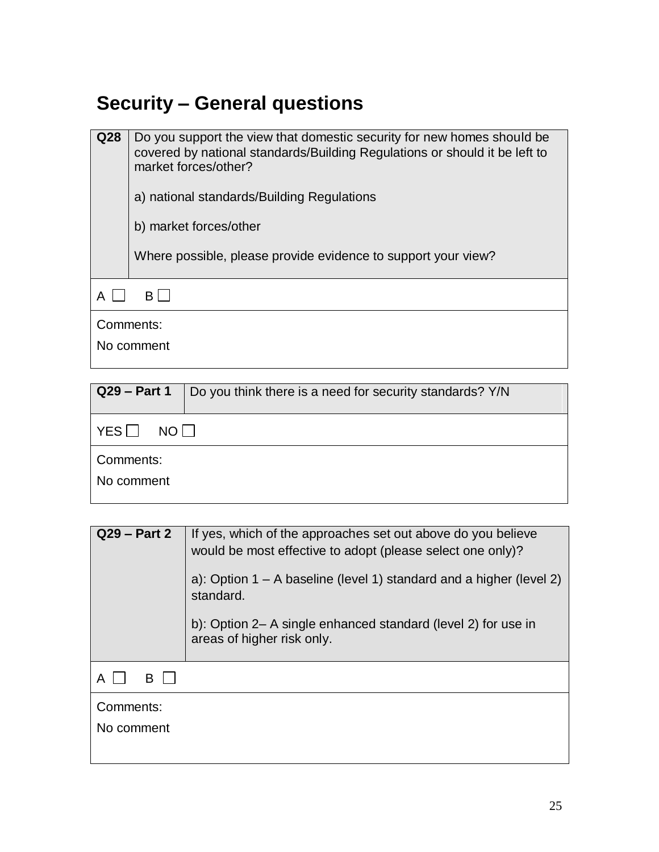## **Security – General questions**

| Q28 | Do you support the view that domestic security for new homes should be<br>covered by national standards/Building Regulations or should it be left to<br>market forces/other?<br>a) national standards/Building Regulations<br>b) market forces/other<br>Where possible, please provide evidence to support your view? |  |
|-----|-----------------------------------------------------------------------------------------------------------------------------------------------------------------------------------------------------------------------------------------------------------------------------------------------------------------------|--|
| А   | B.                                                                                                                                                                                                                                                                                                                    |  |
|     | Comments:                                                                                                                                                                                                                                                                                                             |  |
|     | No comment                                                                                                                                                                                                                                                                                                            |  |

| Do you think there is a need for security standards? Y/N |  |
|----------------------------------------------------------|--|
| NO I I                                                   |  |
| Comments:                                                |  |
|                                                          |  |
|                                                          |  |

| $Q29 - Part 2$          | If yes, which of the approaches set out above do you believe<br>would be most effective to adopt (please select one only)?<br>a): Option $1 - A$ baseline (level 1) standard and a higher (level 2)<br>standard.<br>b): Option 2– A single enhanced standard (level 2) for use in<br>areas of higher risk only. |
|-------------------------|-----------------------------------------------------------------------------------------------------------------------------------------------------------------------------------------------------------------------------------------------------------------------------------------------------------------|
| B<br>A                  |                                                                                                                                                                                                                                                                                                                 |
| Comments:<br>No comment |                                                                                                                                                                                                                                                                                                                 |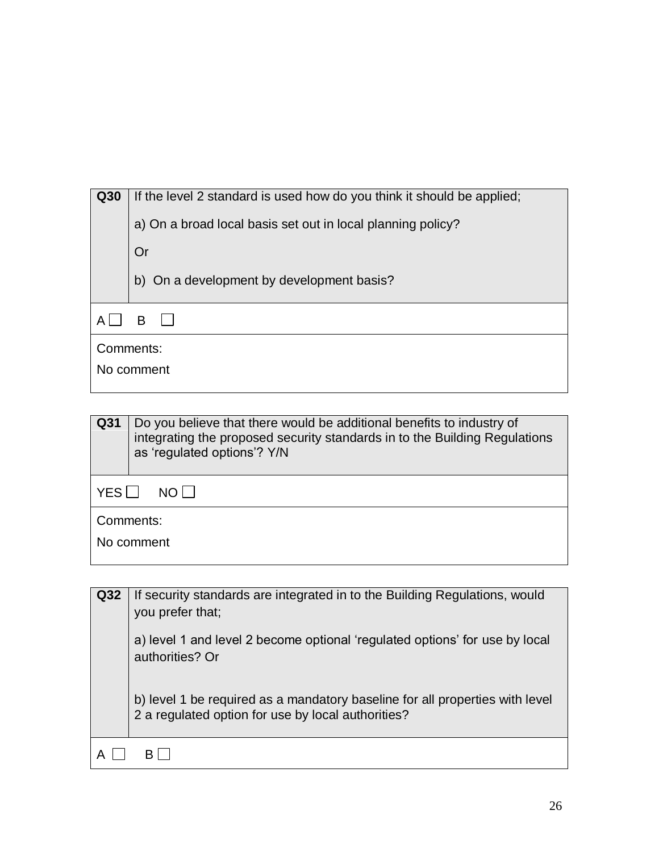| Q30        | If the level 2 standard is used how do you think it should be applied; |
|------------|------------------------------------------------------------------------|
|            | a) On a broad local basis set out in local planning policy?            |
|            | Or                                                                     |
|            | b) On a development by development basis?                              |
|            | B                                                                      |
|            | Comments:                                                              |
| No comment |                                                                        |
|            |                                                                        |

| Q31                     | Do you believe that there would be additional benefits to industry of<br>integrating the proposed security standards in to the Building Regulations<br>as 'regulated options'? Y/N |
|-------------------------|------------------------------------------------------------------------------------------------------------------------------------------------------------------------------------|
| YESI<br>NO L            |                                                                                                                                                                                    |
| Comments:<br>No comment |                                                                                                                                                                                    |
|                         |                                                                                                                                                                                    |

| Q32 | If security standards are integrated in to the Building Regulations, would<br>you prefer that;                                     |
|-----|------------------------------------------------------------------------------------------------------------------------------------|
|     | a) level 1 and level 2 become optional 'regulated options' for use by local<br>authorities? Or                                     |
|     | b) level 1 be required as a mandatory baseline for all properties with level<br>2 a regulated option for use by local authorities? |
|     |                                                                                                                                    |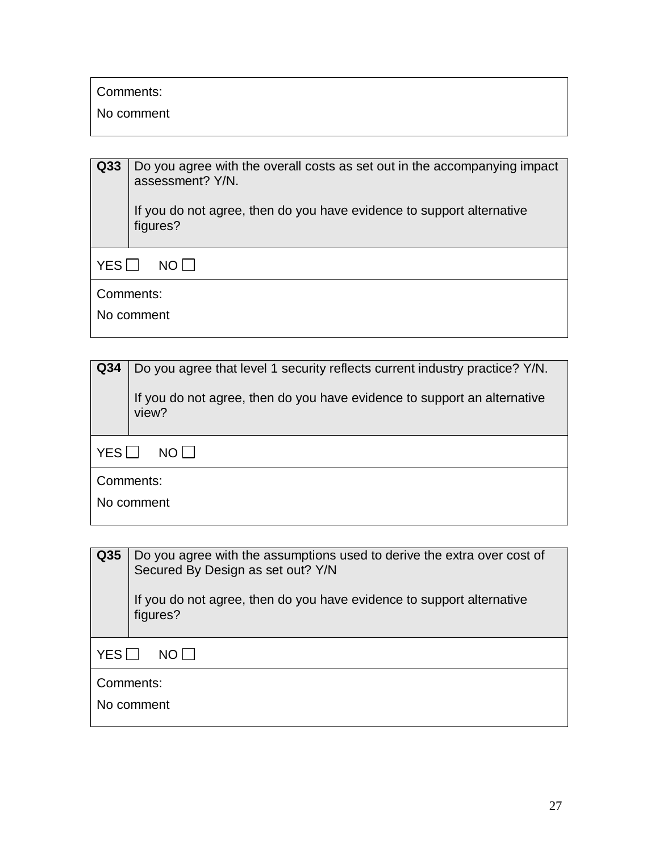Comments:

No comment

| Q <sub>33</sub> | Do you agree with the overall costs as set out in the accompanying impact<br>assessment? Y/N. |
|-----------------|-----------------------------------------------------------------------------------------------|
|                 | If you do not agree, then do you have evidence to support alternative<br>figures?             |
| YES<br>NOT      |                                                                                               |
| Comments:       |                                                                                               |
|                 | No comment                                                                                    |

| Q <sub>34</sub>         | Do you agree that level 1 security reflects current industry practice? Y/N.<br>If you do not agree, then do you have evidence to support an alternative<br>view? |
|-------------------------|------------------------------------------------------------------------------------------------------------------------------------------------------------------|
| YES<br>NO I I           |                                                                                                                                                                  |
| Comments:<br>No comment |                                                                                                                                                                  |

| Q35                     | Do you agree with the assumptions used to derive the extra over cost of<br>Secured By Design as set out? Y/N<br>If you do not agree, then do you have evidence to support alternative<br>figures? |
|-------------------------|---------------------------------------------------------------------------------------------------------------------------------------------------------------------------------------------------|
| YES<br>$NO$             |                                                                                                                                                                                                   |
| Comments:<br>No comment |                                                                                                                                                                                                   |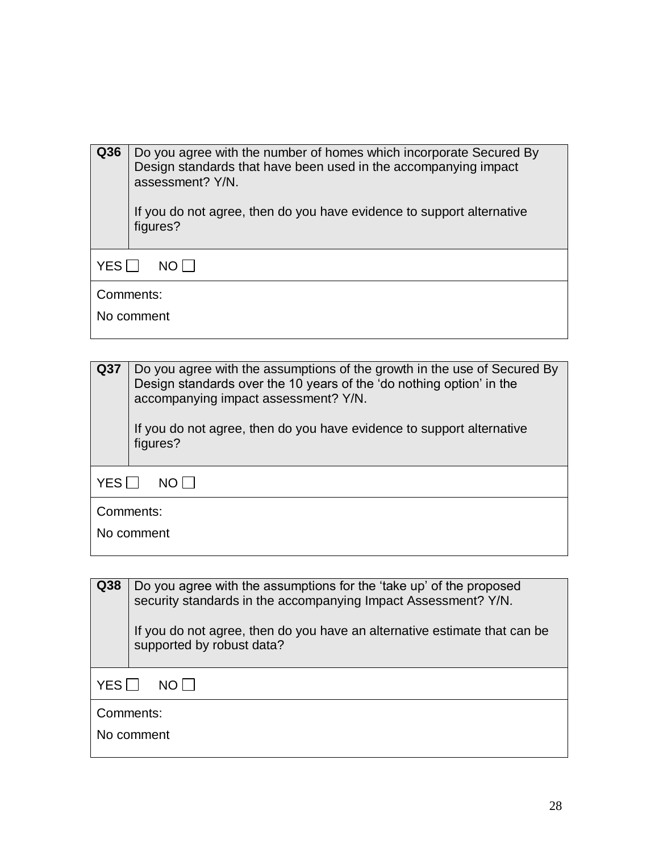| Q36                              | Do you agree with the number of homes which incorporate Secured By<br>Design standards that have been used in the accompanying impact<br>assessment? Y/N.<br>If you do not agree, then do you have evidence to support alternative<br>figures? |
|----------------------------------|------------------------------------------------------------------------------------------------------------------------------------------------------------------------------------------------------------------------------------------------|
| <b>YES</b><br>$N$ $\cap$ $\perp$ |                                                                                                                                                                                                                                                |
| Comments:<br>No comment          |                                                                                                                                                                                                                                                |
|                                  |                                                                                                                                                                                                                                                |

**Q37** Do you agree with the assumptions of the growth in the use of Secured By Design standards over the 10 years of the 'do nothing option' in the accompanying impact assessment? Y/N. If you do not agree, then do you have evidence to support alternative figures?  $YES$  NO  $\Box$ Comments: No comment

| Q38                     | Do you agree with the assumptions for the 'take up' of the proposed<br>security standards in the accompanying Impact Assessment? Y/N.<br>If you do not agree, then do you have an alternative estimate that can be<br>supported by robust data? |
|-------------------------|-------------------------------------------------------------------------------------------------------------------------------------------------------------------------------------------------------------------------------------------------|
| <b>YES</b>              |                                                                                                                                                                                                                                                 |
| Comments:<br>No comment |                                                                                                                                                                                                                                                 |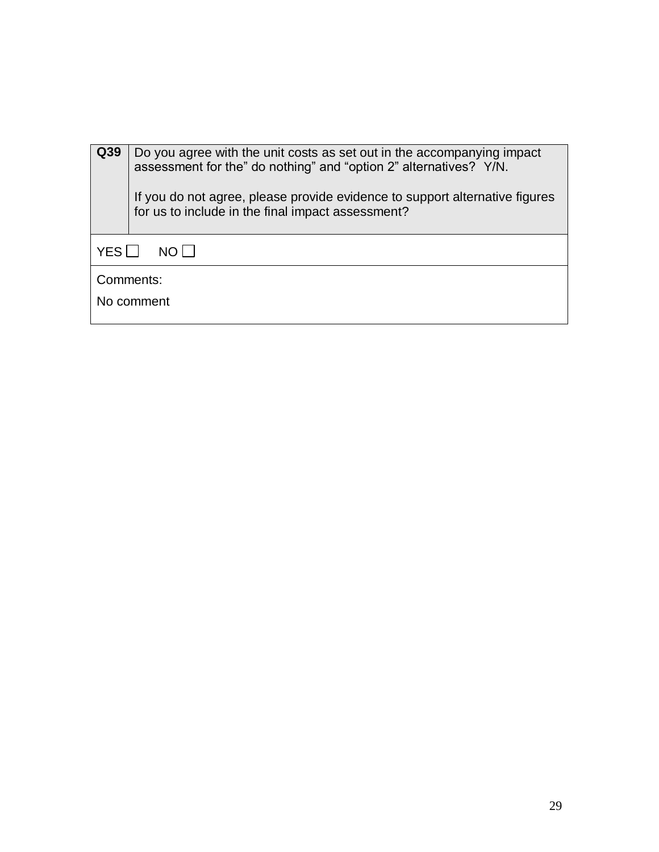| Q39                     | Do you agree with the unit costs as set out in the accompanying impact<br>assessment for the" do nothing" and "option 2" alternatives? Y/N.<br>If you do not agree, please provide evidence to support alternative figures<br>for us to include in the final impact assessment? |
|-------------------------|---------------------------------------------------------------------------------------------------------------------------------------------------------------------------------------------------------------------------------------------------------------------------------|
| YES II<br>NO I I        |                                                                                                                                                                                                                                                                                 |
| Comments:<br>No comment |                                                                                                                                                                                                                                                                                 |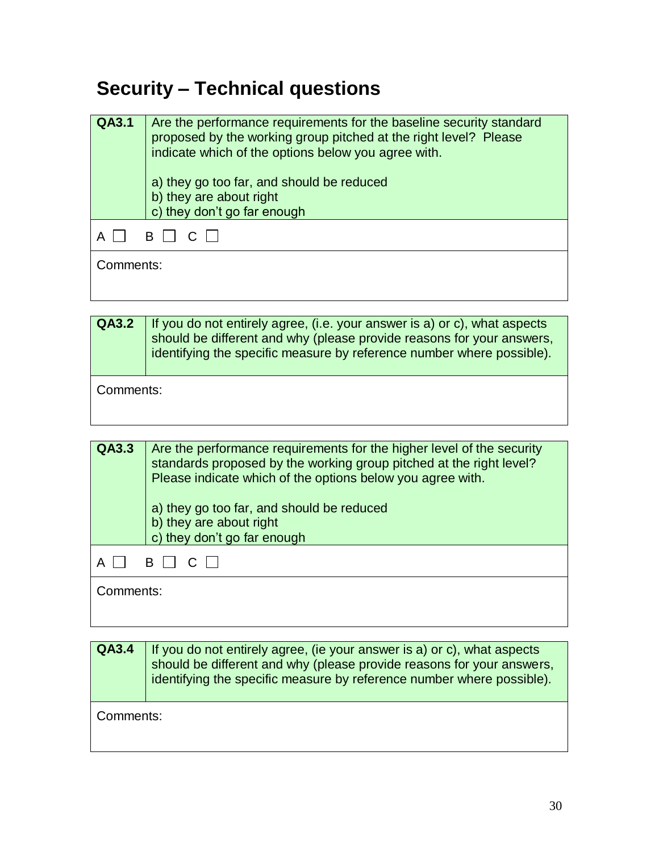## **Security – Technical questions**

| QA3.1     | Are the performance requirements for the baseline security standard<br>proposed by the working group pitched at the right level? Please<br>indicate which of the options below you agree with.<br>a) they go too far, and should be reduced<br>b) they are about right<br>c) they don't go far enough |
|-----------|-------------------------------------------------------------------------------------------------------------------------------------------------------------------------------------------------------------------------------------------------------------------------------------------------------|
|           | $B \perp C$                                                                                                                                                                                                                                                                                           |
| Comments: |                                                                                                                                                                                                                                                                                                       |

| $QA3.2$   If you do not entirely agree, (i.e. your answer is a) or c), what aspects |
|-------------------------------------------------------------------------------------|
| should be different and why (please provide reasons for your answers,               |
| identifying the specific measure by reference number where possible).               |
|                                                                                     |

Comments:

| QA3.3     | Are the performance requirements for the higher level of the security<br>standards proposed by the working group pitched at the right level?<br>Please indicate which of the options below you agree with.<br>a) they go too far, and should be reduced<br>b) they are about right<br>c) they don't go far enough |
|-----------|-------------------------------------------------------------------------------------------------------------------------------------------------------------------------------------------------------------------------------------------------------------------------------------------------------------------|
|           |                                                                                                                                                                                                                                                                                                                   |
|           | BICII                                                                                                                                                                                                                                                                                                             |
| Comments: |                                                                                                                                                                                                                                                                                                                   |

**QA3.4** If you do not entirely agree, (ie your answer is a) or c), what aspects should be different and why (please provide reasons for your answers, identifying the specific measure by reference number where possible). Comments: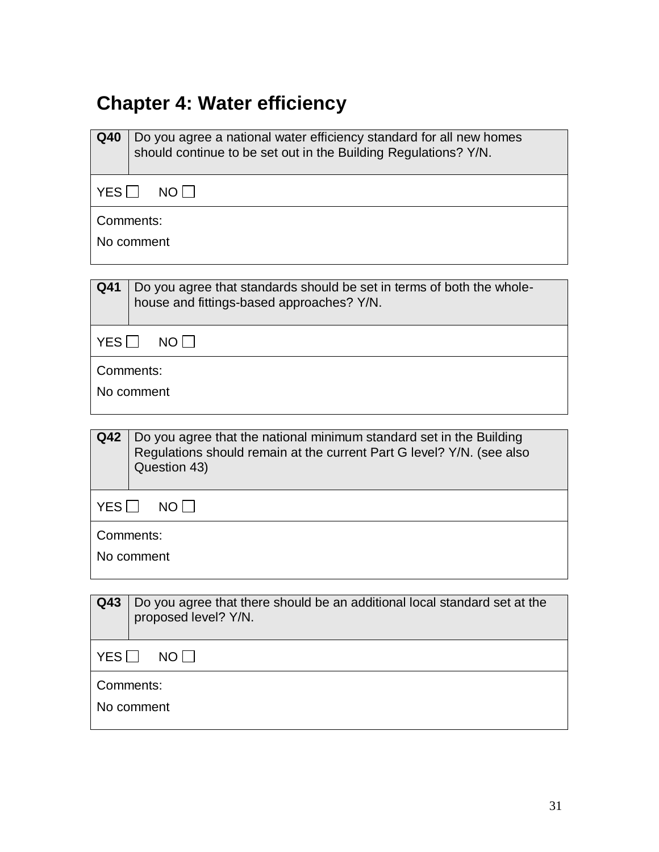## **Chapter 4: Water efficiency**

| Q40                | Do you agree a national water efficiency standard for all new homes<br>should continue to be set out in the Building Regulations? Y/N. |  |
|--------------------|----------------------------------------------------------------------------------------------------------------------------------------|--|
| YES □              | NO                                                                                                                                     |  |
|                    | Comments:                                                                                                                              |  |
|                    | No comment                                                                                                                             |  |
|                    |                                                                                                                                        |  |
| Q41                | Do you agree that standards should be set in terms of both the whole-<br>house and fittings-based approaches? Y/N.                     |  |
| YES                | NO                                                                                                                                     |  |
|                    | Comments:                                                                                                                              |  |
|                    | No comment                                                                                                                             |  |
| Q42                | Do you agree that the national minimum standard set in the Building                                                                    |  |
|                    | Regulations should remain at the current Part G level? Y/N. (see also<br>Question 43)                                                  |  |
| YES<br>$NO$ $\Box$ |                                                                                                                                        |  |
|                    | Comments:                                                                                                                              |  |
| No comment         |                                                                                                                                        |  |
|                    |                                                                                                                                        |  |
| Q43                | Do you agree that there should be an additional local standard set at the<br>proposed level? Y/N.                                      |  |
| YES<br>NO          |                                                                                                                                        |  |
|                    | Comments:                                                                                                                              |  |

No comment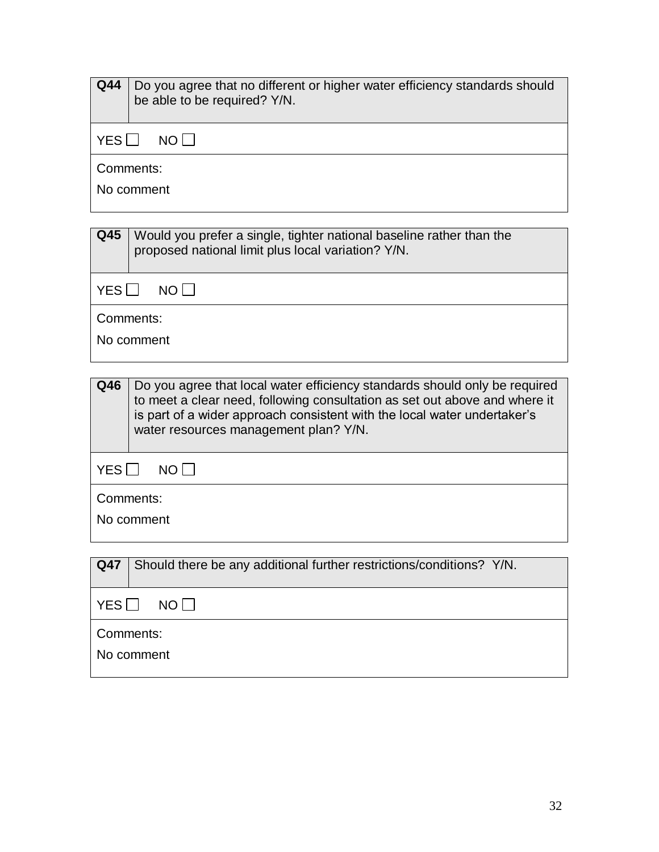| $Q$ 44          | Do you agree that no different or higher water efficiency standards should<br>be able to be required? Y/N.                 |  |
|-----------------|----------------------------------------------------------------------------------------------------------------------------|--|
| YES             | $NO$                                                                                                                       |  |
| Comments:       |                                                                                                                            |  |
| No comment      |                                                                                                                            |  |
|                 |                                                                                                                            |  |
| Q <sub>45</sub> | Would you prefer a single, tighter national baseline rather than the<br>proposed national limit plus local variation? Y/N. |  |

| Comments:<br>No comment |                                                                                                                                                                                                                                      |
|-------------------------|--------------------------------------------------------------------------------------------------------------------------------------------------------------------------------------------------------------------------------------|
|                         |                                                                                                                                                                                                                                      |
| Q46                     | Do you agree that local water efficiency standards should only be required<br>to meet a clear need, following consultation as set out above and where it<br>is part of a wider approach consistent with the local water undertaker's |

 $YES \Box NO \Box$ 

|            | water resources management plan? Y/N. |
|------------|---------------------------------------|
| YES        | $NO$ $\Box$                           |
| Comments:  |                                       |
| No comment |                                       |

| Q47           | Should there be any additional further restrictions/conditions? Y/N. |
|---------------|----------------------------------------------------------------------|
| YES<br>NO I I |                                                                      |
| Comments:     |                                                                      |
| No comment    |                                                                      |
|               |                                                                      |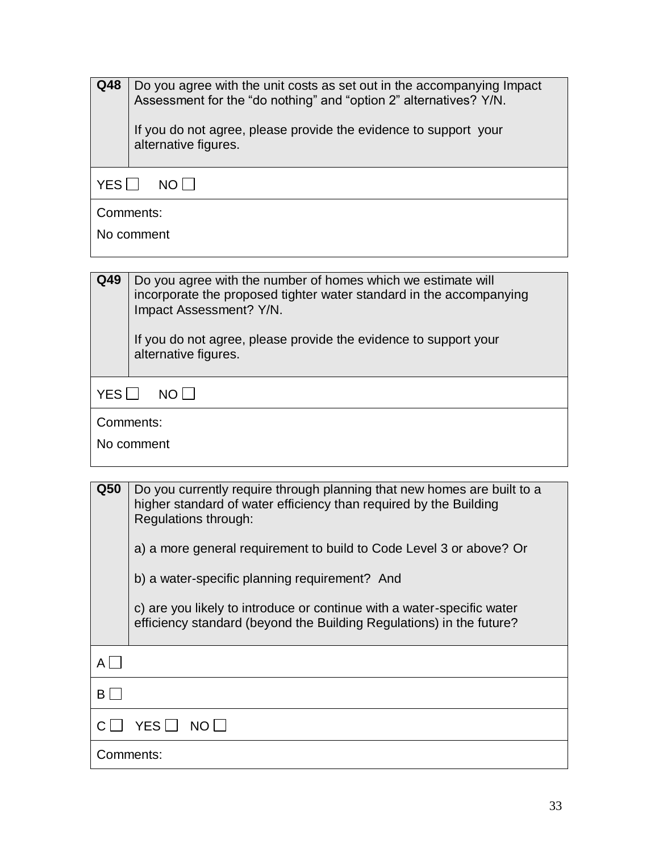| Q48                     | Do you agree with the unit costs as set out in the accompanying Impact<br>Assessment for the "do nothing" and "option 2" alternatives? Y/N.<br>If you do not agree, please provide the evidence to support your<br>alternative figures. |  |
|-------------------------|-----------------------------------------------------------------------------------------------------------------------------------------------------------------------------------------------------------------------------------------|--|
| YES<br>NO.              |                                                                                                                                                                                                                                         |  |
| Comments:<br>No comment |                                                                                                                                                                                                                                         |  |

**Q49** | Do you agree with the number of homes which we estimate will incorporate the proposed tighter water standard in the accompanying Impact Assessment? Y/N. If you do not agree, please provide the evidence to support your alternative figures.  $YES$  NO  $\Box$ Comments: No comment

| Q <sub>50</sub> | Do you currently require through planning that new homes are built to a<br>higher standard of water efficiency than required by the Building<br>Regulations through: |
|-----------------|----------------------------------------------------------------------------------------------------------------------------------------------------------------------|
|                 | a) a more general requirement to build to Code Level 3 or above? Or                                                                                                  |
|                 | b) a water-specific planning requirement? And                                                                                                                        |
|                 | c) are you likely to introduce or continue with a water-specific water<br>efficiency standard (beyond the Building Regulations) in the future?                       |
| AI              |                                                                                                                                                                      |
| BI              |                                                                                                                                                                      |
|                 | YES I I<br>NO I                                                                                                                                                      |
|                 | Comments:                                                                                                                                                            |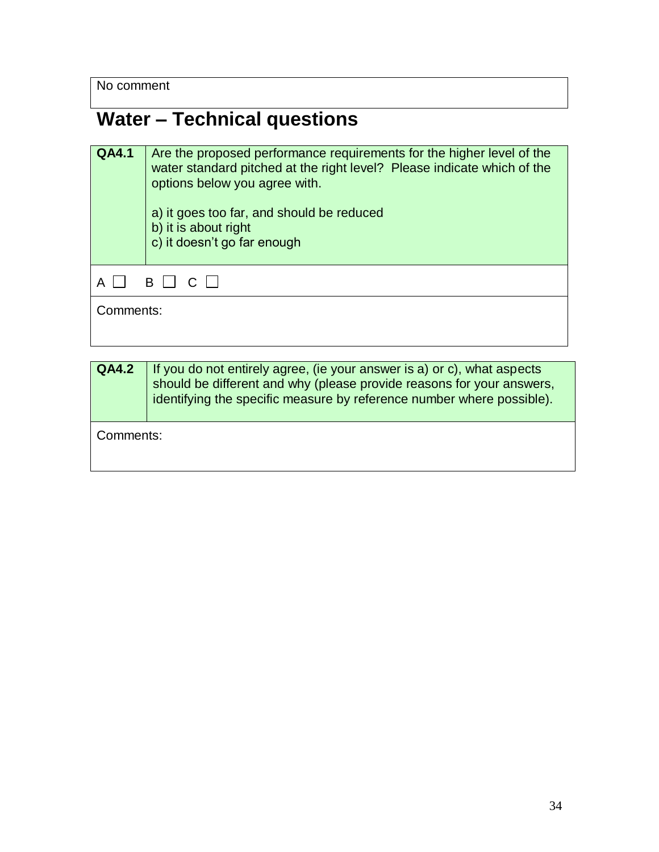No comment

## **Water – Technical questions**

| <b>QA4.1</b>    | Are the proposed performance requirements for the higher level of the<br>water standard pitched at the right level? Please indicate which of the<br>options below you agree with.<br>a) it goes too far, and should be reduced<br>b) it is about right<br>c) it doesn't go far enough |  |
|-----------------|---------------------------------------------------------------------------------------------------------------------------------------------------------------------------------------------------------------------------------------------------------------------------------------|--|
| B    <br>$\cap$ |                                                                                                                                                                                                                                                                                       |  |
|                 | Comments:                                                                                                                                                                                                                                                                             |  |

| <b>QA4.2</b> | If you do not entirely agree, (ie your answer is a) or c), what aspects<br>should be different and why (please provide reasons for your answers,<br>identifying the specific measure by reference number where possible). |
|--------------|---------------------------------------------------------------------------------------------------------------------------------------------------------------------------------------------------------------------------|
| Comments:    |                                                                                                                                                                                                                           |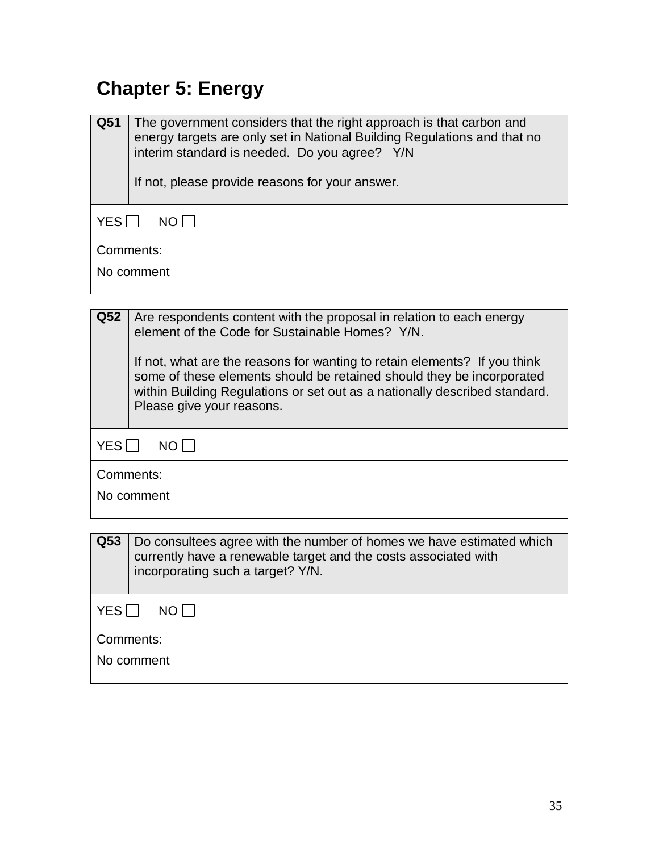## **Chapter 5: Energy**

| Q51             | The government considers that the right approach is that carbon and<br>energy targets are only set in National Building Regulations and that no<br>interim standard is needed. Do you agree? Y/N<br>If not, please provide reasons for your answer.           |  |
|-----------------|---------------------------------------------------------------------------------------------------------------------------------------------------------------------------------------------------------------------------------------------------------------|--|
| YES             | NO <sub>1</sub>                                                                                                                                                                                                                                               |  |
|                 | Comments:                                                                                                                                                                                                                                                     |  |
|                 | No comment                                                                                                                                                                                                                                                    |  |
|                 |                                                                                                                                                                                                                                                               |  |
| Q <sub>52</sub> | Are respondents content with the proposal in relation to each energy<br>element of the Code for Sustainable Homes? Y/N.                                                                                                                                       |  |
|                 | If not, what are the reasons for wanting to retain elements? If you think<br>some of these elements should be retained should they be incorporated<br>within Building Regulations or set out as a nationally described standard.<br>Please give your reasons. |  |
| YES II          | <b>NO</b>                                                                                                                                                                                                                                                     |  |
|                 | Comments:                                                                                                                                                                                                                                                     |  |

|  | No comment |
|--|------------|
|--|------------|

| Q <sub>53</sub>         | Do consultees agree with the number of homes we have estimated which<br>currently have a renewable target and the costs associated with<br>incorporating such a target? Y/N. |
|-------------------------|------------------------------------------------------------------------------------------------------------------------------------------------------------------------------|
| YES<br>NOT              |                                                                                                                                                                              |
| Comments:<br>No comment |                                                                                                                                                                              |
|                         |                                                                                                                                                                              |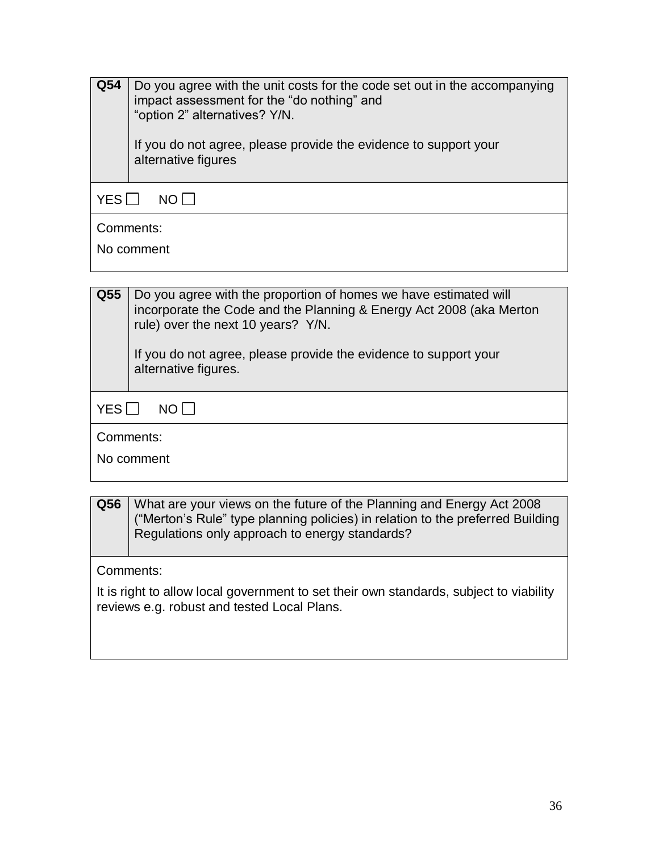| Q54               | Do you agree with the unit costs for the code set out in the accompanying<br>impact assessment for the "do nothing" and<br>"option 2" alternatives? Y/N.<br>If you do not agree, please provide the evidence to support your<br>alternative figures |
|-------------------|-----------------------------------------------------------------------------------------------------------------------------------------------------------------------------------------------------------------------------------------------------|
| <b>YES</b><br>NO. |                                                                                                                                                                                                                                                     |
| Comments:         |                                                                                                                                                                                                                                                     |
| No comment        |                                                                                                                                                                                                                                                     |
|                   |                                                                                                                                                                                                                                                     |

| Q55                | Do you agree with the proportion of homes we have estimated will<br>incorporate the Code and the Planning & Energy Act 2008 (aka Merton<br>rule) over the next 10 years? Y/N.<br>If you do not agree, please provide the evidence to support your<br>alternative figures. |
|--------------------|---------------------------------------------------------------------------------------------------------------------------------------------------------------------------------------------------------------------------------------------------------------------------|
| <b>YES</b><br>NO I |                                                                                                                                                                                                                                                                           |
| Comments:          |                                                                                                                                                                                                                                                                           |
| No comment         |                                                                                                                                                                                                                                                                           |

**Q56** What are your views on the future of the Planning and Energy Act 2008 ("Merton's Rule" type planning policies) in relation to the preferred Building Regulations only approach to energy standards?

Comments:

It is right to allow local government to set their own standards, subject to viability reviews e.g. robust and tested Local Plans.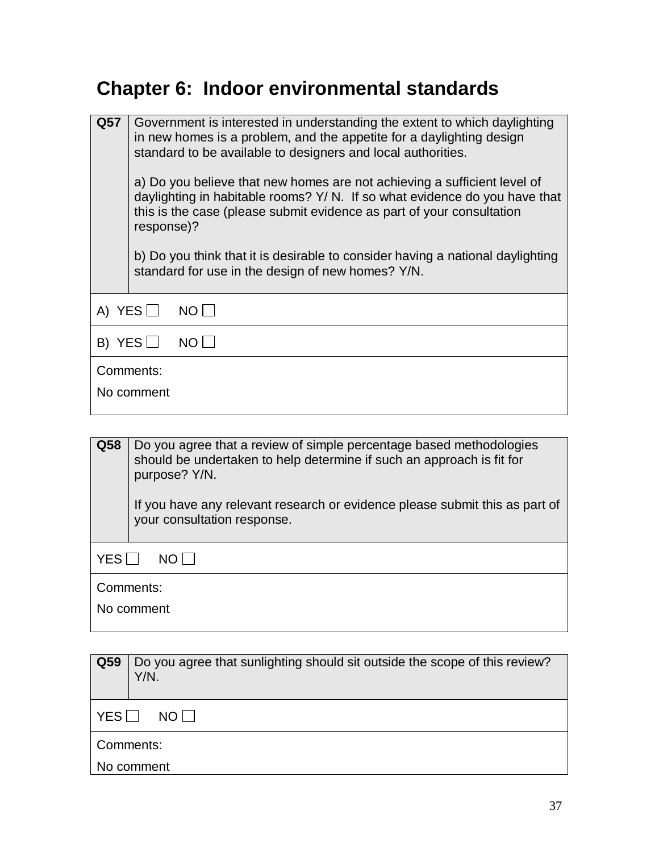#### **Chapter 6: Indoor environmental standards**

| Q57                     | response)?            | Government is interested in understanding the extent to which daylighting<br>in new homes is a problem, and the appetite for a daylighting design<br>standard to be available to designers and local authorities.<br>a) Do you believe that new homes are not achieving a sufficient level of<br>daylighting in habitable rooms? Y/ N. If so what evidence do you have that<br>this is the case (please submit evidence as part of your consultation<br>b) Do you think that it is desirable to consider having a national daylighting<br>standard for use in the design of new homes? Y/N. |
|-------------------------|-----------------------|---------------------------------------------------------------------------------------------------------------------------------------------------------------------------------------------------------------------------------------------------------------------------------------------------------------------------------------------------------------------------------------------------------------------------------------------------------------------------------------------------------------------------------------------------------------------------------------------|
| A) YES $\Box$<br>$NO$   |                       |                                                                                                                                                                                                                                                                                                                                                                                                                                                                                                                                                                                             |
|                         | B) YES $\Box$<br>NO I |                                                                                                                                                                                                                                                                                                                                                                                                                                                                                                                                                                                             |
| Comments:<br>No comment |                       |                                                                                                                                                                                                                                                                                                                                                                                                                                                                                                                                                                                             |

**Q58** Do you agree that a review of simple percentage based methodologies should be undertaken to help determine if such an approach is fit for purpose? Y/N. If you have any relevant research or evidence please submit this as part of your consultation response.  $YES \Box NO \Box$ Comments: No comment

| Q59                    | Do you agree that sunlighting should sit outside the scope of this review?<br>Y/N. |
|------------------------|------------------------------------------------------------------------------------|
| $YES$ $\Box$<br>NO I I |                                                                                    |
| Comments:              |                                                                                    |
| No comment             |                                                                                    |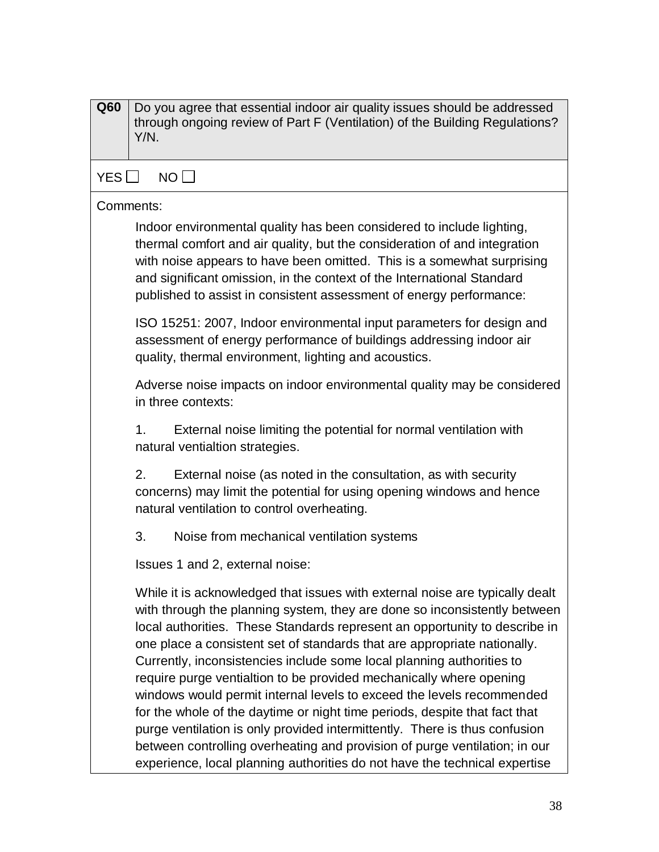| Q60 | Do you agree that essential indoor air quality issues should be addressed<br>through ongoing review of Part F (Ventilation) of the Building Regulations?<br>Y/N.                                                                                                                                                                                                                                                                                                                                                                                                                                                                                                                                                                                                                                                                                                     |
|-----|----------------------------------------------------------------------------------------------------------------------------------------------------------------------------------------------------------------------------------------------------------------------------------------------------------------------------------------------------------------------------------------------------------------------------------------------------------------------------------------------------------------------------------------------------------------------------------------------------------------------------------------------------------------------------------------------------------------------------------------------------------------------------------------------------------------------------------------------------------------------|
| YES | NO                                                                                                                                                                                                                                                                                                                                                                                                                                                                                                                                                                                                                                                                                                                                                                                                                                                                   |
|     | Comments:                                                                                                                                                                                                                                                                                                                                                                                                                                                                                                                                                                                                                                                                                                                                                                                                                                                            |
|     | Indoor environmental quality has been considered to include lighting,<br>thermal comfort and air quality, but the consideration of and integration<br>with noise appears to have been omitted. This is a somewhat surprising<br>and significant omission, in the context of the International Standard<br>published to assist in consistent assessment of energy performance:                                                                                                                                                                                                                                                                                                                                                                                                                                                                                        |
|     | ISO 15251: 2007, Indoor environmental input parameters for design and<br>assessment of energy performance of buildings addressing indoor air<br>quality, thermal environment, lighting and acoustics.                                                                                                                                                                                                                                                                                                                                                                                                                                                                                                                                                                                                                                                                |
|     | Adverse noise impacts on indoor environmental quality may be considered<br>in three contexts:                                                                                                                                                                                                                                                                                                                                                                                                                                                                                                                                                                                                                                                                                                                                                                        |
|     | External noise limiting the potential for normal ventilation with<br>1.<br>natural ventialtion strategies.                                                                                                                                                                                                                                                                                                                                                                                                                                                                                                                                                                                                                                                                                                                                                           |
|     | 2.<br>External noise (as noted in the consultation, as with security<br>concerns) may limit the potential for using opening windows and hence<br>natural ventilation to control overheating.                                                                                                                                                                                                                                                                                                                                                                                                                                                                                                                                                                                                                                                                         |
|     | 3.<br>Noise from mechanical ventilation systems                                                                                                                                                                                                                                                                                                                                                                                                                                                                                                                                                                                                                                                                                                                                                                                                                      |
|     | Issues 1 and 2, external noise:                                                                                                                                                                                                                                                                                                                                                                                                                                                                                                                                                                                                                                                                                                                                                                                                                                      |
|     | While it is acknowledged that issues with external noise are typically dealt<br>with through the planning system, they are done so inconsistently between<br>local authorities. These Standards represent an opportunity to describe in<br>one place a consistent set of standards that are appropriate nationally.<br>Currently, inconsistencies include some local planning authorities to<br>require purge ventialtion to be provided mechanically where opening<br>windows would permit internal levels to exceed the levels recommended<br>for the whole of the daytime or night time periods, despite that fact that<br>purge ventilation is only provided intermittently. There is thus confusion<br>between controlling overheating and provision of purge ventilation; in our<br>experience, local planning authorities do not have the technical expertise |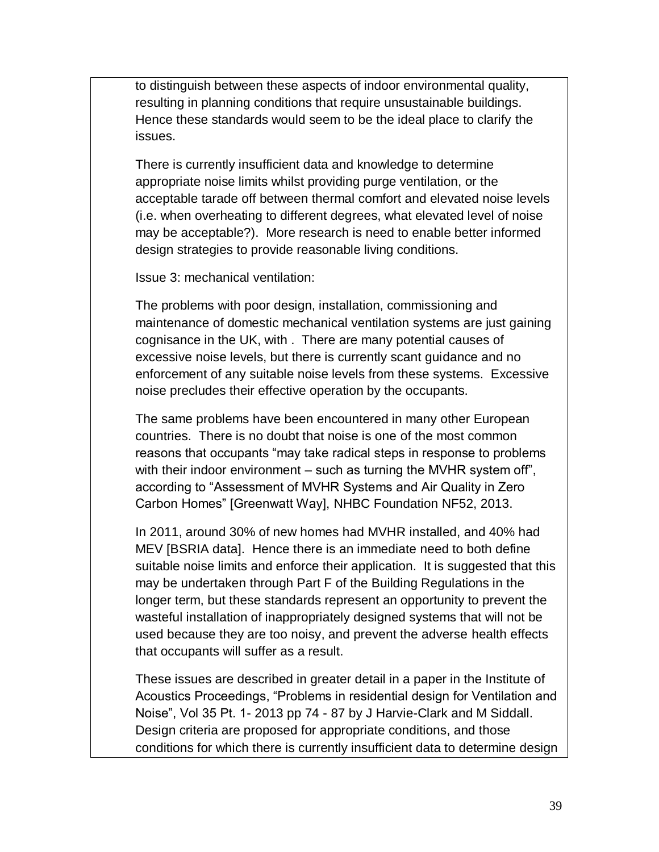to distinguish between these aspects of indoor environmental quality, resulting in planning conditions that require unsustainable buildings. Hence these standards would seem to be the ideal place to clarify the issues.

There is currently insufficient data and knowledge to determine appropriate noise limits whilst providing purge ventilation, or the acceptable tarade off between thermal comfort and elevated noise levels (i.e. when overheating to different degrees, what elevated level of noise may be acceptable?). More research is need to enable better informed design strategies to provide reasonable living conditions.

Issue 3: mechanical ventilation:

The problems with poor design, installation, commissioning and maintenance of domestic mechanical ventilation systems are just gaining cognisance in the UK, with . There are many potential causes of excessive noise levels, but there is currently scant guidance and no enforcement of any suitable noise levels from these systems. Excessive noise precludes their effective operation by the occupants.

The same problems have been encountered in many other European countries. There is no doubt that noise is one of the most common reasons that occupants "may take radical steps in response to problems with their indoor environment – such as turning the MVHR system off", according to "Assessment of MVHR Systems and Air Quality in Zero Carbon Homes" [Greenwatt Way], NHBC Foundation NF52, 2013.

In 2011, around 30% of new homes had MVHR installed, and 40% had MEV [BSRIA data]. Hence there is an immediate need to both define suitable noise limits and enforce their application. It is suggested that this may be undertaken through Part F of the Building Regulations in the longer term, but these standards represent an opportunity to prevent the wasteful installation of inappropriately designed systems that will not be used because they are too noisy, and prevent the adverse health effects that occupants will suffer as a result.

These issues are described in greater detail in a paper in the Institute of Acoustics Proceedings, "Problems in residential design for Ventilation and Noise", Vol 35 Pt. 1- 2013 pp 74 - 87 by J Harvie-Clark and M Siddall. Design criteria are proposed for appropriate conditions, and those conditions for which there is currently insufficient data to determine design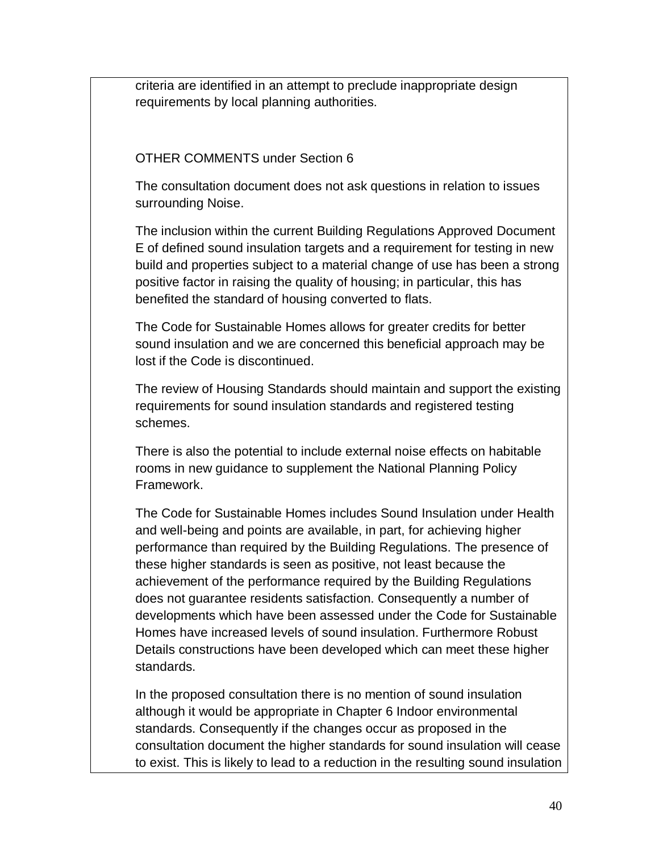criteria are identified in an attempt to preclude inappropriate design requirements by local planning authorities.

OTHER COMMENTS under Section 6

The consultation document does not ask questions in relation to issues surrounding Noise.

The inclusion within the current Building Regulations Approved Document E of defined sound insulation targets and a requirement for testing in new build and properties subject to a material change of use has been a strong positive factor in raising the quality of housing; in particular, this has benefited the standard of housing converted to flats.

The Code for Sustainable Homes allows for greater credits for better sound insulation and we are concerned this beneficial approach may be lost if the Code is discontinued.

The review of Housing Standards should maintain and support the existing requirements for sound insulation standards and registered testing schemes.

There is also the potential to include external noise effects on habitable rooms in new guidance to supplement the National Planning Policy Framework.

The Code for Sustainable Homes includes Sound Insulation under Health and well-being and points are available, in part, for achieving higher performance than required by the Building Regulations. The presence of these higher standards is seen as positive, not least because the achievement of the performance required by the Building Regulations does not guarantee residents satisfaction. Consequently a number of developments which have been assessed under the Code for Sustainable Homes have increased levels of sound insulation. Furthermore Robust Details constructions have been developed which can meet these higher standards.

In the proposed consultation there is no mention of sound insulation although it would be appropriate in Chapter 6 Indoor environmental standards. Consequently if the changes occur as proposed in the consultation document the higher standards for sound insulation will cease to exist. This is likely to lead to a reduction in the resulting sound insulation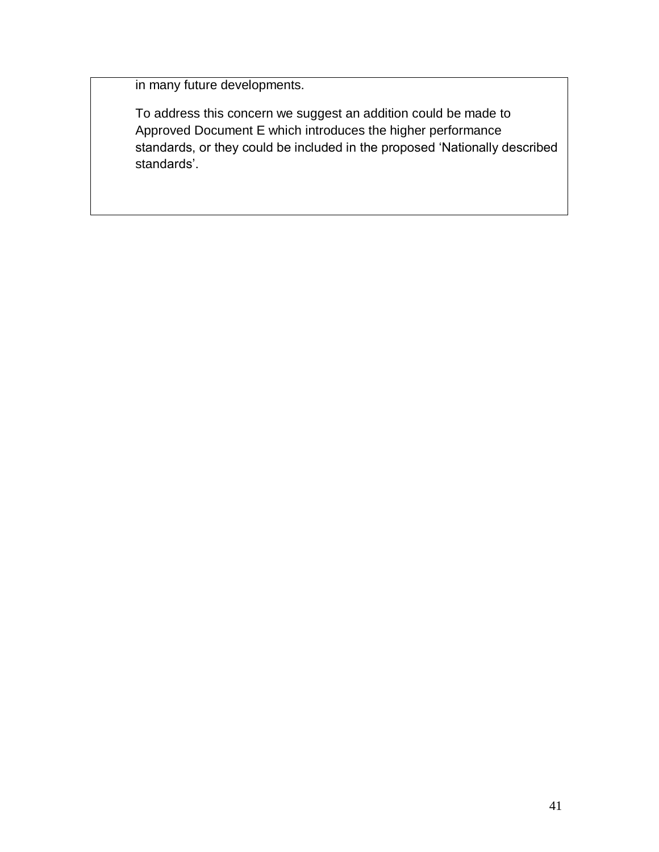in many future developments.

To address this concern we suggest an addition could be made to Approved Document E which introduces the higher performance standards, or they could be included in the proposed 'Nationally described standards'.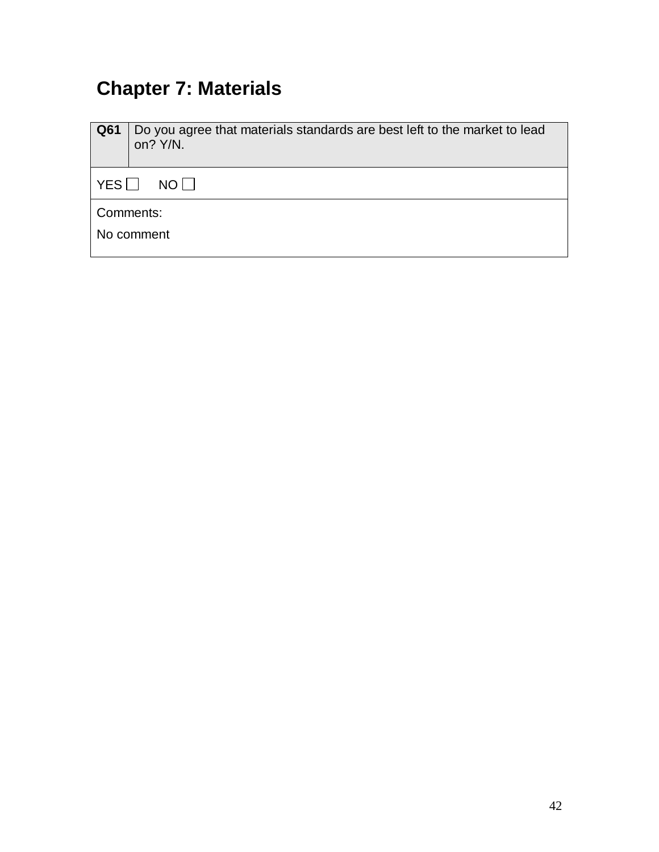#### **Chapter 7: Materials**

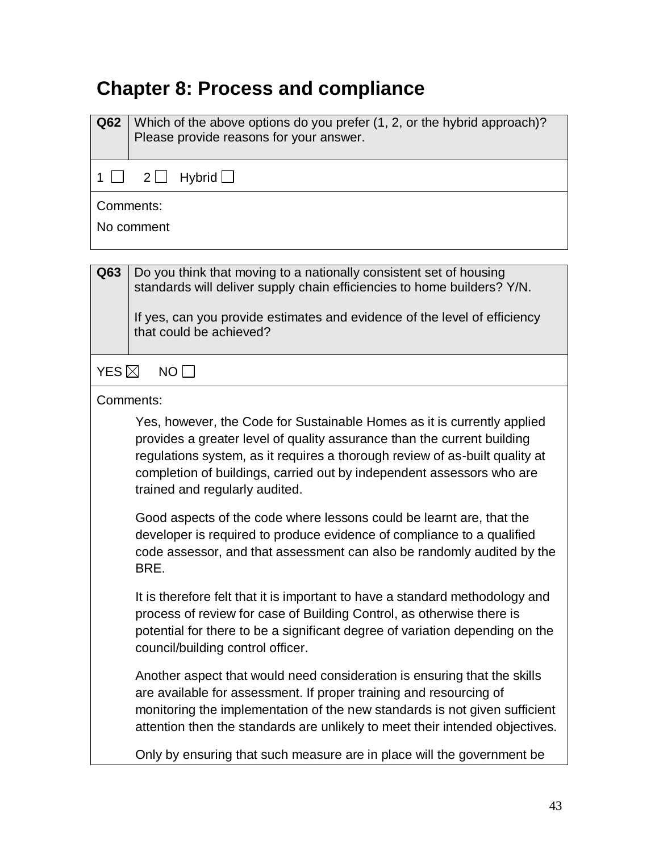#### **Chapter 8: Process and compliance**

| Q62                     | Which of the above options do you prefer (1, 2, or the hybrid approach)?<br>Please provide reasons for your answer. |
|-------------------------|---------------------------------------------------------------------------------------------------------------------|
|                         | $1 \square$ $2 \square$ Hybrid $\square$                                                                            |
| Comments:<br>No comment |                                                                                                                     |

**Q63** Do you think that moving to a nationally consistent set of housing standards will deliver supply chain efficiencies to home builders? Y/N.

If yes, can you provide estimates and evidence of the level of efficiency that could be achieved?

 $YES \boxtimes NO \Box$ 

#### Comments:

Yes, however, the Code for Sustainable Homes as it is currently applied provides a greater level of quality assurance than the current building regulations system, as it requires a thorough review of as-built quality at completion of buildings, carried out by independent assessors who are trained and regularly audited.

Good aspects of the code where lessons could be learnt are, that the developer is required to produce evidence of compliance to a qualified code assessor, and that assessment can also be randomly audited by the BRE.

It is therefore felt that it is important to have a standard methodology and process of review for case of Building Control, as otherwise there is potential for there to be a significant degree of variation depending on the council/building control officer.

Another aspect that would need consideration is ensuring that the skills are available for assessment. If proper training and resourcing of monitoring the implementation of the new standards is not given sufficient attention then the standards are unlikely to meet their intended objectives.

Only by ensuring that such measure are in place will the government be